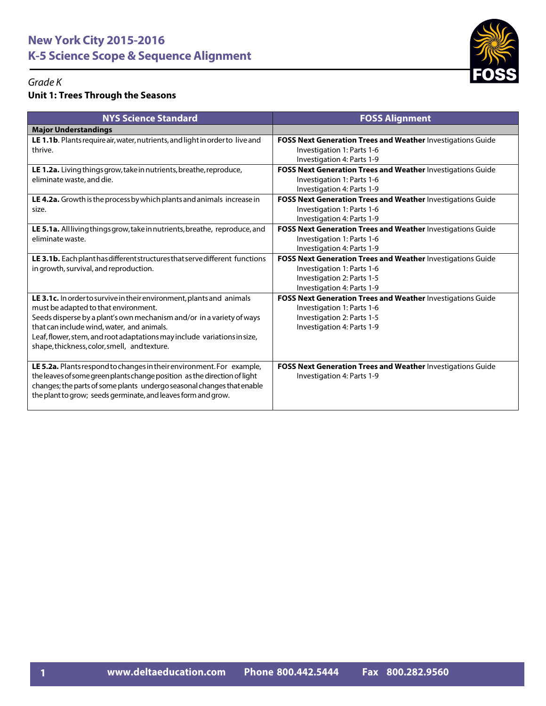

## *Grade K*

## **Unit 1: Trees Through the Seasons**

| <b>NYS Science Standard</b>                                                                                                                                                                                                                                                                                                                                      | <b>FOSS Alignment</b>                                                                                                                                 |
|------------------------------------------------------------------------------------------------------------------------------------------------------------------------------------------------------------------------------------------------------------------------------------------------------------------------------------------------------------------|-------------------------------------------------------------------------------------------------------------------------------------------------------|
| <b>Major Understandings</b>                                                                                                                                                                                                                                                                                                                                      |                                                                                                                                                       |
| LE 1.1b. Plants require air, water, nutrients, and light in order to live and<br>thrive.                                                                                                                                                                                                                                                                         | <b>FOSS Next Generation Trees and Weather Investigations Guide</b><br>Investigation 1: Parts 1-6<br>Investigation 4: Parts 1-9                        |
| LE 1.2a. Living things grow, take in nutrients, breathe, reproduce,<br>eliminate waste, and die.                                                                                                                                                                                                                                                                 | <b>FOSS Next Generation Trees and Weather Investigations Guide</b><br>Investigation 1: Parts 1-6<br>Investigation 4: Parts 1-9                        |
| LE 4.2a. Growth is the process by which plants and animals increase in<br>size.                                                                                                                                                                                                                                                                                  | FOSS Next Generation Trees and Weather Investigations Guide<br>Investigation 1: Parts 1-6<br>Investigation 4: Parts 1-9                               |
| LE 5.1a. All living things grow, take in nutrients, breathe, reproduce, and<br>eliminate waste.                                                                                                                                                                                                                                                                  | FOSS Next Generation Trees and Weather Investigations Guide<br>Investigation 1: Parts 1-6<br>Investigation 4: Parts 1-9                               |
| LE 3.1b. Each plant has different structures that serve different functions<br>in growth, survival, and reproduction.                                                                                                                                                                                                                                            | FOSS Next Generation Trees and Weather Investigations Guide<br>Investigation 1: Parts 1-6<br>Investigation 2: Parts 1-5<br>Investigation 4: Parts 1-9 |
| LE 3.1c. In order to survive in their environment, plants and animals<br>must be adapted to that environment.<br>Seeds disperse by a plant's own mechanism and/or in a variety of ways<br>that can include wind, water, and animals.<br>Leaf, flower, stem, and root adaptations may include variations in size,<br>shape, thickness, color, smell, and texture. | FOSS Next Generation Trees and Weather Investigations Guide<br>Investigation 1: Parts 1-6<br>Investigation 2: Parts 1-5<br>Investigation 4: Parts 1-9 |
| LE 5.2a. Plants respond to changes in their environment. For example,<br>the leaves of some green plants change position as the direction of light<br>changes; the parts of some plants undergo seasonal changes that enable<br>the plant to grow; seeds germinate, and leaves form and grow.                                                                    | FOSS Next Generation Trees and Weather Investigations Guide<br>Investigation 4: Parts 1-9                                                             |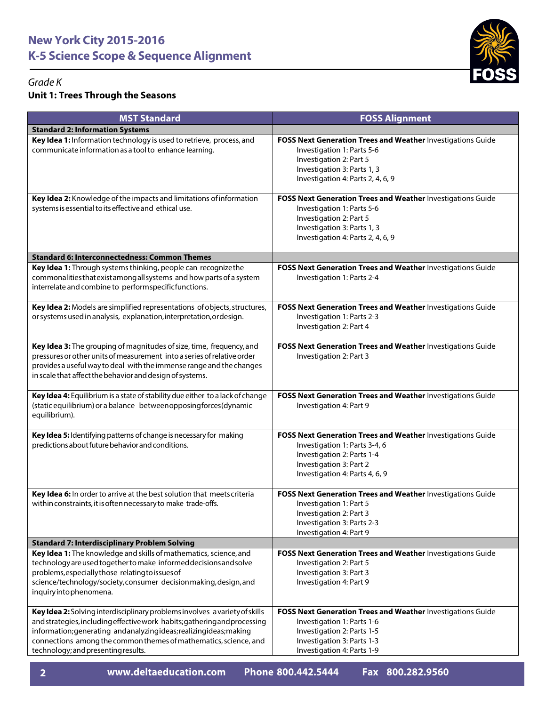

### *Grade K*

## **Unit 1: Trees Through the Seasons**

| <b>MST Standard</b>                                                                                                                                                                                                                                                                                                                         | <b>FOSS Alignment</b>                                                                                                                                                                    |
|---------------------------------------------------------------------------------------------------------------------------------------------------------------------------------------------------------------------------------------------------------------------------------------------------------------------------------------------|------------------------------------------------------------------------------------------------------------------------------------------------------------------------------------------|
| <b>Standard 2: Information Systems</b>                                                                                                                                                                                                                                                                                                      |                                                                                                                                                                                          |
| Key Idea 1: Information technology is used to retrieve, process, and<br>communicate information as a tool to enhance learning.                                                                                                                                                                                                              | FOSS Next Generation Trees and Weather Investigations Guide<br>Investigation 1: Parts 5-6<br>Investigation 2: Part 5<br>Investigation 3: Parts 1, 3<br>Investigation 4: Parts 2, 4, 6, 9 |
| Key Idea 2: Knowledge of the impacts and limitations of information<br>systems is essential to its effective and ethical use.                                                                                                                                                                                                               | FOSS Next Generation Trees and Weather Investigations Guide<br>Investigation 1: Parts 5-6<br>Investigation 2: Part 5<br>Investigation 3: Parts 1, 3<br>Investigation 4: Parts 2, 4, 6, 9 |
| <b>Standard 6: Interconnectedness: Common Themes</b>                                                                                                                                                                                                                                                                                        |                                                                                                                                                                                          |
| Key Idea 1: Through systems thinking, people can recognize the<br>commonalities that exist among all systems and how parts of a system<br>interrelate and combine to performspecificfunctions.                                                                                                                                              | FOSS Next Generation Trees and Weather Investigations Guide<br>Investigation 1: Parts 2-4                                                                                                |
| Key Idea 2: Models are simplified representations of objects, structures,<br>or systems used in analysis, explanation, interpretation, ordesign.                                                                                                                                                                                            | FOSS Next Generation Trees and Weather Investigations Guide<br>Investigation 1: Parts 2-3<br>Investigation 2: Part 4                                                                     |
| Key Idea 3: The grouping of magnitudes of size, time, frequency, and<br>pressures or other units of measurement into a series of relative order<br>provides a useful way to deal with the immense range and the changes<br>in scale that affect the behavior and design of systems.                                                         | FOSS Next Generation Trees and Weather Investigations Guide<br>Investigation 2: Part 3                                                                                                   |
| Key Idea 4: Equilibrium is a state of stability due either to a lack of change<br>(static equilibrium) or a balance betweenopposingforces (dynamic<br>equilibrium).                                                                                                                                                                         | FOSS Next Generation Trees and Weather Investigations Guide<br>Investigation 4: Part 9                                                                                                   |
| Key Idea 5: Identifying patterns of change is necessary for making<br>predictions about future behavior and conditions.                                                                                                                                                                                                                     | FOSS Next Generation Trees and Weather Investigations Guide<br>Investigation 1: Parts 3-4, 6<br>Investigation 2: Parts 1-4<br>Investigation 3: Part 2<br>Investigation 4: Parts 4, 6, 9  |
| Key Idea 6: In order to arrive at the best solution that meets criteria<br>within constraints, it is often necessary to make trade-offs.                                                                                                                                                                                                    | FOSS Next Generation Trees and Weather Investigations Guide<br>Investigation 1: Part 5<br>Investigation 2: Part 3<br>Investigation 3: Parts 2-3<br>Investigation 4: Part 9               |
| <b>Standard 7: Interdisciplinary Problem Solving</b>                                                                                                                                                                                                                                                                                        |                                                                                                                                                                                          |
| Key Idea 1: The knowledge and skills of mathematics, science, and<br>technology are used together to make informed decisions and solve<br>problems, especially those relating to issues of<br>science/technology/society, consumer decision making, design, and<br>inquiryintophenomena.                                                    | FOSS Next Generation Trees and Weather Investigations Guide<br>Investigation 2: Part 5<br>Investigation 3: Part 3<br>Investigation 4: Part 9                                             |
| Key Idea 2: Solving interdisciplinary problems involves a variety of skills<br>and strategies, including effective work habits; gathering and processing<br>information; generating and analyzing ideas; realizing ideas; making<br>connections among the common themes of mathematics, science, and<br>technology; and presenting results. | FOSS Next Generation Trees and Weather Investigations Guide<br>Investigation 1: Parts 1-6<br>Investigation 2: Parts 1-5<br>Investigation 3: Parts 1-3<br>Investigation 4: Parts 1-9      |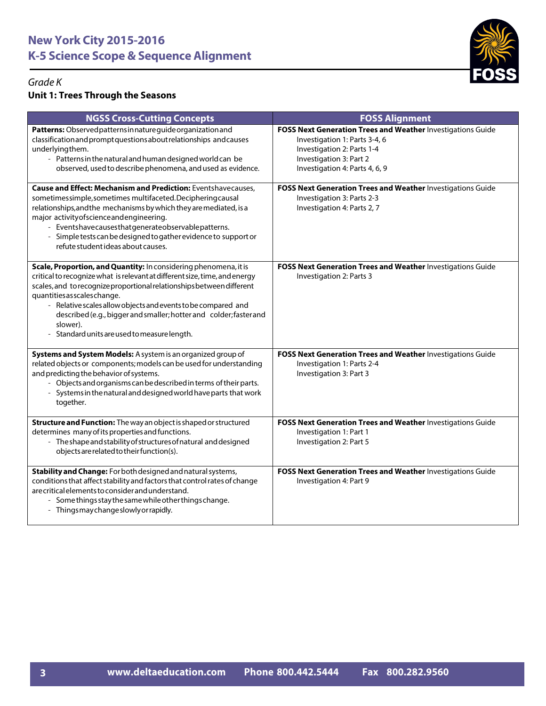

## *Grade K*

## **Unit 1: Trees Through the Seasons**

| <b>NGSS Cross-Cutting Concepts</b>                                                                                                                                                                                                                                                                                                                                                                                                                         | <b>FOSS Alignment</b>                                                                                                                                                                   |
|------------------------------------------------------------------------------------------------------------------------------------------------------------------------------------------------------------------------------------------------------------------------------------------------------------------------------------------------------------------------------------------------------------------------------------------------------------|-----------------------------------------------------------------------------------------------------------------------------------------------------------------------------------------|
| Patterns: Observed patterns in nature guide organization and<br>classification and prompt questions about relationships and causes<br>underlyingthem.<br>- Patterns in the natural and human designed world can be<br>observed, used to describe phenomena, and used as evidence.                                                                                                                                                                          | FOSS Next Generation Trees and Weather Investigations Guide<br>Investigation 1: Parts 3-4, 6<br>Investigation 2: Parts 1-4<br>Investigation 3: Part 2<br>Investigation 4: Parts 4, 6, 9 |
| <b>Cause and Effect: Mechanism and Prediction: Eventshavecauses,</b><br>sometimessimple, sometimes multifaceted. Deciphering causal<br>relationships, and the mechanisms by which they are mediated, is a<br>major activity of science and engineering.<br>- Eventshavecausesthatgenerateobservablepatterns.<br>- Simple tests can be designed to gather evidence to support or<br>refute student ideas about causes.                                      | FOSS Next Generation Trees and Weather Investigations Guide<br>Investigation 3: Parts 2-3<br>Investigation 4: Parts 2, 7                                                                |
| Scale, Proportion, and Quantity: In considering phenomena, it is<br>critical to recognize what is relevant at different size, time, and energy<br>scales, and to recognize proportional relationships between different<br>quantities as scales change.<br>- Relative scales allow objects and events to be compared and<br>described (e.g., bigger and smaller; hotter and colder; faster and<br>slower).<br>- Standard units are used to measure length. | FOSS Next Generation Trees and Weather Investigations Guide<br>Investigation 2: Parts 3                                                                                                 |
| Systems and System Models: A system is an organized group of<br>related objects or components; models can be used for understanding<br>and predicting the behavior of systems.<br>- Objects and organisms can be described in terms of their parts.<br>- Systems in the natural and designed world have parts that work<br>together.                                                                                                                       | FOSS Next Generation Trees and Weather Investigations Guide<br>Investigation 1: Parts 2-4<br>Investigation 3: Part 3                                                                    |
| Structure and Function: The way an object is shaped or structured<br>determines many of its properties and functions.<br>- The shape and stability of structures of natural and designed<br>objects are related to their function(s).                                                                                                                                                                                                                      | FOSS Next Generation Trees and Weather Investigations Guide<br>Investigation 1: Part 1<br>Investigation 2: Part 5                                                                       |
| Stability and Change: For both designed and natural systems,<br>conditions that affect stability and factors that control rates of change<br>are critical elements to consider and understand.<br>- Some things stay the same while other things change.<br>- Thingsmaychangeslowlyorrapidly.                                                                                                                                                              | FOSS Next Generation Trees and Weather Investigations Guide<br>Investigation 4: Part 9                                                                                                  |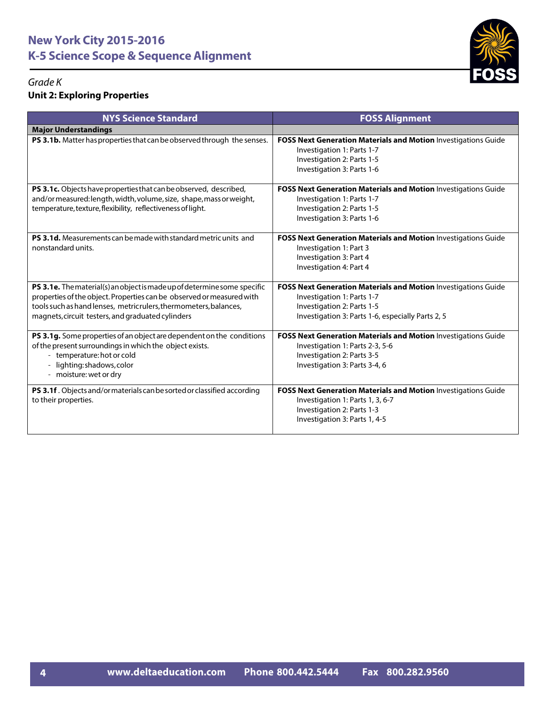

#### *Grade K* **Unit 2: Exploring Properties**

| <b>NYS Science Standard</b>                                                                                                                                                                                                                                                | <b>FOSS Alignment</b>                                                                                                                                                           |
|----------------------------------------------------------------------------------------------------------------------------------------------------------------------------------------------------------------------------------------------------------------------------|---------------------------------------------------------------------------------------------------------------------------------------------------------------------------------|
| <b>Major Understandings</b>                                                                                                                                                                                                                                                |                                                                                                                                                                                 |
| PS 3.1b. Matter has properties that can be observed through the senses.                                                                                                                                                                                                    | <b>FOSS Next Generation Materials and Motion Investigations Guide</b><br>Investigation 1: Parts 1-7<br>Investigation 2: Parts 1-5<br>Investigation 3: Parts 1-6                 |
| PS 3.1c. Objects have properties that can be observed, described,<br>and/or measured: length, width, volume, size, shape, mass or weight,<br>temperature, texture, flexibility, reflectiveness of light.                                                                   | FOSS Next Generation Materials and Motion Investigations Guide<br>Investigation 1: Parts 1-7<br>Investigation 2: Parts 1-5<br>Investigation 3: Parts 1-6                        |
| PS 3.1d. Measurements can be made with standard metric units and<br>nonstandard units.                                                                                                                                                                                     | FOSS Next Generation Materials and Motion Investigations Guide<br>Investigation 1: Part 3<br>Investigation 3: Part 4<br>Investigation 4: Part 4                                 |
| PS 3.1e. The material(s) an object is made up of determine some specific<br>properties of the object. Properties can be observed or measured with<br>tools such as hand lenses, metricrulers, thermometers, balances,<br>magnets, circuit testers, and graduated cylinders | FOSS Next Generation Materials and Motion Investigations Guide<br>Investigation 1: Parts 1-7<br>Investigation 2: Parts 1-5<br>Investigation 3: Parts 1-6, especially Parts 2, 5 |
| PS 3.1g. Some properties of an object are dependent on the conditions<br>of the present surroundings in which the object exists.<br>- temperature: hot or cold<br>lighting: shadows, color<br>- moisture: wet or dry                                                       | FOSS Next Generation Materials and Motion Investigations Guide<br>Investigation 1: Parts 2-3, 5-6<br>Investigation 2: Parts 3-5<br>Investigation 3: Parts 3-4, 6                |
| PS 3.1f. Objects and/or materials can be sorted or classified according<br>to their properties.                                                                                                                                                                            | FOSS Next Generation Materials and Motion Investigations Guide<br>Investigation 1: Parts 1, 3, 6-7<br>Investigation 2: Parts 1-3<br>Investigation 3: Parts 1, 4-5               |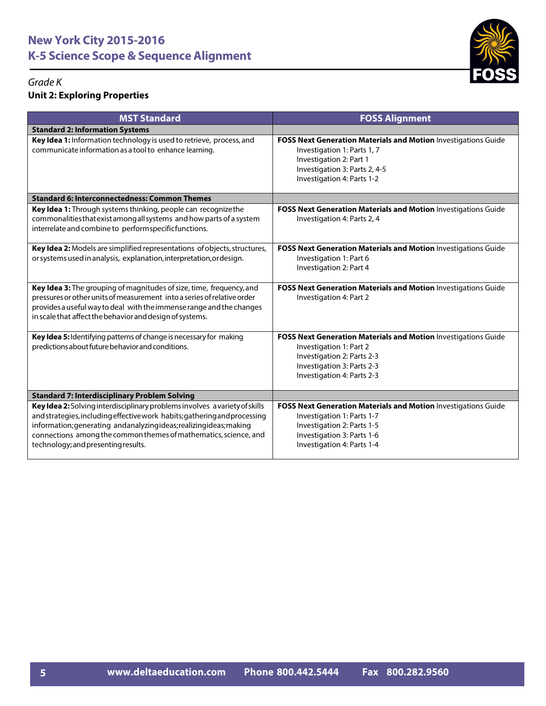

#### *Grade K* **Unit 2: Exploring Properties**

| <b>MST Standard</b>                                                                                                                                                                                                                                                                                                                      | <b>FOSS Alignment</b>                                                                                                                                                                   |
|------------------------------------------------------------------------------------------------------------------------------------------------------------------------------------------------------------------------------------------------------------------------------------------------------------------------------------------|-----------------------------------------------------------------------------------------------------------------------------------------------------------------------------------------|
| <b>Standard 2: Information Systems</b>                                                                                                                                                                                                                                                                                                   |                                                                                                                                                                                         |
| Key Idea 1: Information technology is used to retrieve, process, and<br>communicate information as a tool to enhance learning.                                                                                                                                                                                                           | FOSS Next Generation Materials and Motion Investigations Guide<br>Investigation 1: Parts 1, 7<br>Investigation 2: Part 1<br>Investigation 3: Parts 2, 4-5<br>Investigation 4: Parts 1-2 |
| <b>Standard 6: Interconnectedness: Common Themes</b>                                                                                                                                                                                                                                                                                     |                                                                                                                                                                                         |
| Key Idea 1: Through systems thinking, people can recognize the<br>commonalities that exist among all systems and how parts of a system<br>interrelate and combine to performspecificfunctions.                                                                                                                                           | FOSS Next Generation Materials and Motion Investigations Guide<br>Investigation 4: Parts 2, 4                                                                                           |
| Key Idea 2: Models are simplified representations of objects, structures,<br>or systems used in analysis, explanation, interpretation, or design.                                                                                                                                                                                        | FOSS Next Generation Materials and Motion Investigations Guide<br>Investigation 1: Part 6<br>Investigation 2: Part 4                                                                    |
| Key Idea 3: The grouping of magnitudes of size, time, frequency, and<br>pressures or other units of measurement into a series of relative order<br>provides a useful way to deal with the immense range and the changes<br>in scale that affect the behavior and design of systems.                                                      | FOSS Next Generation Materials and Motion Investigations Guide<br>Investigation 4: Part 2                                                                                               |
| Key Idea 5: Identifying patterns of change is necessary for making<br>predictions about future behavior and conditions.                                                                                                                                                                                                                  | FOSS Next Generation Materials and Motion Investigations Guide<br>Investigation 1: Part 2<br>Investigation 2: Parts 2-3<br>Investigation 3: Parts 2-3<br>Investigation 4: Parts 2-3     |
| <b>Standard 7: Interdisciplinary Problem Solving</b>                                                                                                                                                                                                                                                                                     |                                                                                                                                                                                         |
| Key Idea 2: Solving interdisciplinary problems involves a variety of skills<br>and strategies, including effective work habits; gathering and processing<br>information; generating andanalyzingideas; realizingideas; making<br>connections among the common themes of mathematics, science, and<br>technology; and presenting results. | FOSS Next Generation Materials and Motion Investigations Guide<br>Investigation 1: Parts 1-7<br>Investigation 2: Parts 1-5<br>Investigation 3: Parts 1-6<br>Investigation 4: Parts 1-4  |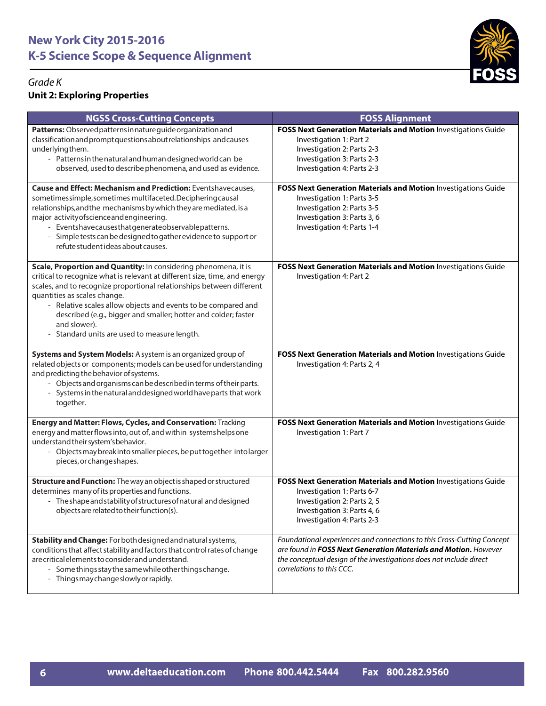

#### *Grade K* **Unit 2: Exploring Properties**

| <b>NGSS Cross-Cutting Concepts</b>                                                                                                                                                                                                                                                                                                                                                                                                                        | <b>FOSS Alignment</b>                                                                                                                                                                                                                         |
|-----------------------------------------------------------------------------------------------------------------------------------------------------------------------------------------------------------------------------------------------------------------------------------------------------------------------------------------------------------------------------------------------------------------------------------------------------------|-----------------------------------------------------------------------------------------------------------------------------------------------------------------------------------------------------------------------------------------------|
| Patterns: Observed patterns in nature guide organization and<br>classification and prompt questions about relationships and causes<br>underlyingthem.<br>- Patterns in the natural and human designed world can be<br>observed, used to describe phenomena, and used as evidence.                                                                                                                                                                         | FOSS Next Generation Materials and Motion Investigations Guide<br>Investigation 1: Part 2<br>Investigation 2: Parts 2-3<br>Investigation 3: Parts 2-3<br>Investigation 4: Parts 2-3                                                           |
| <b>Cause and Effect: Mechanism and Prediction: Eventshavecauses,</b><br>sometimessimple, sometimes multifaceted. Deciphering causal<br>relationships, and the mechanisms by which they are mediated, is a<br>major activity of science and engineering.<br>- Eventshavecausesthatgenerateobservablepatterns.<br>- Simple tests can be designed to gather evidence to support or<br>refute student ideas about causes.                                     | FOSS Next Generation Materials and Motion Investigations Guide<br>Investigation 1: Parts 3-5<br>Investigation 2: Parts 3-5<br>Investigation 3: Parts 3, 6<br>Investigation 4: Parts 1-4                                                       |
| Scale, Proportion and Quantity: In considering phenomena, it is<br>critical to recognize what is relevant at different size, time, and energy<br>scales, and to recognize proportional relationships between different<br>quantities as scales change.<br>- Relative scales allow objects and events to be compared and<br>described (e.g., bigger and smaller; hotter and colder; faster<br>and slower).<br>- Standard units are used to measure length. | FOSS Next Generation Materials and Motion Investigations Guide<br>Investigation 4: Part 2                                                                                                                                                     |
| Systems and System Models: A system is an organized group of<br>related objects or components; models can be used for understanding<br>and predicting the behavior of systems.<br>- Objects and organisms can be described in terms of their parts.<br>- Systems in the natural and designed world have parts that work<br>together.                                                                                                                      | FOSS Next Generation Materials and Motion Investigations Guide<br>Investigation 4: Parts 2, 4                                                                                                                                                 |
| Energy and Matter: Flows, Cycles, and Conservation: Tracking<br>energy and matter flows into, out of, and within systems helps one<br>understand their system's behavior.<br>- Objects may break into smaller pieces, be put together into larger<br>pieces, or change shapes.                                                                                                                                                                            | FOSS Next Generation Materials and Motion Investigations Guide<br>Investigation 1: Part 7                                                                                                                                                     |
| Structure and Function: The way an object is shaped or structured<br>determines many of its properties and functions.<br>- The shape and stability of structures of natural and designed<br>objects are related to their function(s).                                                                                                                                                                                                                     | FOSS Next Generation Materials and Motion Investigations Guide<br>Investigation 1: Parts 6-7<br>Investigation 2: Parts 2, 5<br>Investigation 3: Parts 4, 6<br>Investigation 4: Parts 2-3                                                      |
| Stability and Change: For both designed and natural systems,<br>conditions that affect stability and factors that control rates of change<br>are critical elements to consider and understand.<br>- Some things stay the same while other things change.<br>- Thingsmaychangeslowlyorrapidly.                                                                                                                                                             | Foundational experiences and connections to this Cross-Cutting Concept<br>are found in FOSS Next Generation Materials and Motion. However<br>the conceptual design of the investigations does not include direct<br>correlations to this CCC. |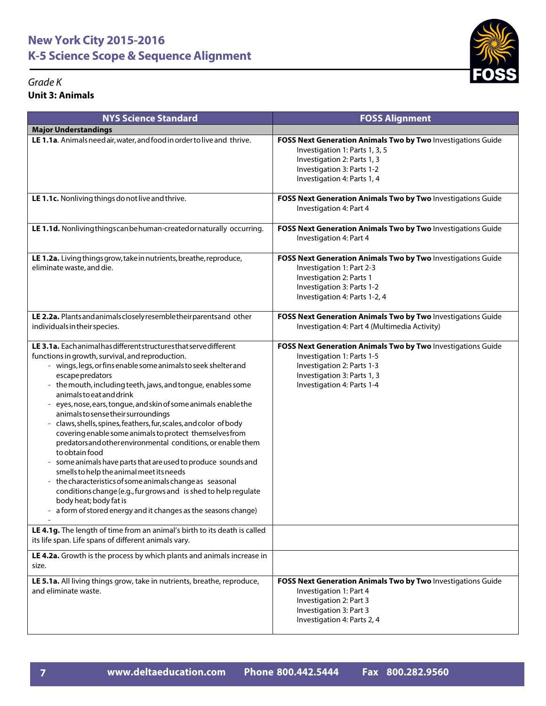#### *Grade K* **Unit 3:**

| Grade K<br><b>Unit 3: Animals</b>                                                                                                                                                                                                                                                                                                                                                                                                                                                                                                                                                                                                                                                                                                                                                                                                                                                                                                                                                                                                                                                                        | гиээ                                                                                                                                                                                       |
|----------------------------------------------------------------------------------------------------------------------------------------------------------------------------------------------------------------------------------------------------------------------------------------------------------------------------------------------------------------------------------------------------------------------------------------------------------------------------------------------------------------------------------------------------------------------------------------------------------------------------------------------------------------------------------------------------------------------------------------------------------------------------------------------------------------------------------------------------------------------------------------------------------------------------------------------------------------------------------------------------------------------------------------------------------------------------------------------------------|--------------------------------------------------------------------------------------------------------------------------------------------------------------------------------------------|
| <b>NYS Science Standard</b>                                                                                                                                                                                                                                                                                                                                                                                                                                                                                                                                                                                                                                                                                                                                                                                                                                                                                                                                                                                                                                                                              | <b>FOSS Alignment</b>                                                                                                                                                                      |
| <b>Major Understandings</b>                                                                                                                                                                                                                                                                                                                                                                                                                                                                                                                                                                                                                                                                                                                                                                                                                                                                                                                                                                                                                                                                              |                                                                                                                                                                                            |
| LE 1.1a. Animals need air, water, and food in order to live and thrive.                                                                                                                                                                                                                                                                                                                                                                                                                                                                                                                                                                                                                                                                                                                                                                                                                                                                                                                                                                                                                                  | FOSS Next Generation Animals Two by Two Investigations Guide<br>Investigation 1: Parts 1, 3, 5<br>Investigation 2: Parts 1, 3<br>Investigation 3: Parts 1-2<br>Investigation 4: Parts 1, 4 |
| LE 1.1c. Nonliving things do not live and thrive.                                                                                                                                                                                                                                                                                                                                                                                                                                                                                                                                                                                                                                                                                                                                                                                                                                                                                                                                                                                                                                                        | FOSS Next Generation Animals Two by Two Investigations Guide<br>Investigation 4: Part 4                                                                                                    |
| LE 1.1d. Nonliving things can be human-created or naturally occurring.                                                                                                                                                                                                                                                                                                                                                                                                                                                                                                                                                                                                                                                                                                                                                                                                                                                                                                                                                                                                                                   | FOSS Next Generation Animals Two by Two Investigations Guide<br>Investigation 4: Part 4                                                                                                    |
| LE 1.2a. Living things grow, take in nutrients, breathe, reproduce,<br>eliminate waste, and die.                                                                                                                                                                                                                                                                                                                                                                                                                                                                                                                                                                                                                                                                                                                                                                                                                                                                                                                                                                                                         | FOSS Next Generation Animals Two by Two Investigations Guide<br>Investigation 1: Part 2-3<br>Investigation 2: Parts 1<br>Investigation 3: Parts 1-2<br>Investigation 4: Parts 1-2, 4       |
| LE 2.2a. Plants and animals closely resemble their parents and other<br>individuals in their species.                                                                                                                                                                                                                                                                                                                                                                                                                                                                                                                                                                                                                                                                                                                                                                                                                                                                                                                                                                                                    | FOSS Next Generation Animals Two by Two Investigations Guide<br>Investigation 4: Part 4 (Multimedia Activity)                                                                              |
| LE 3.1a. Eachanimalhas different structures that serve different<br>functions in growth, survival, and reproduction.<br>- wings, legs, or fins enable some animals to seek shelter and<br>escape predators<br>- the mouth, including teeth, jaws, and tongue, enables some<br>animals to eat and drink<br>eyes, nose, ears, tongue, and skin of some animals enable the<br>animals to sense their surroundings<br>- claws, shells, spines, feathers, fur, scales, and color of body<br>covering enable some animals to protect themselves from<br>predators and other environmental conditions, or enable them<br>to obtain food<br>some animals have parts that are used to produce sounds and<br>smells to help the animal meet its needs<br>the characteristics of some animals change as seasonal<br>conditions change (e.g., fur grows and is shed to help regulate<br>body heat; body fat is<br>a form of stored energy and it changes as the seasons change)<br>LE 4.1g. The length of time from an animal's birth to its death is called<br>its life span. Life spans of different animals vary. | FOSS Next Generation Animals Two by Two Investigations Guide<br>Investigation 1: Parts 1-5<br>Investigation 2: Parts 1-3<br>Investigation 3: Parts 1, 3<br>Investigation 4: Parts 1-4      |
| LE 4.2a. Growth is the process by which plants and animals increase in<br>size.                                                                                                                                                                                                                                                                                                                                                                                                                                                                                                                                                                                                                                                                                                                                                                                                                                                                                                                                                                                                                          |                                                                                                                                                                                            |
| LE 5.1a. All living things grow, take in nutrients, breathe, reproduce,<br>and eliminate waste.                                                                                                                                                                                                                                                                                                                                                                                                                                                                                                                                                                                                                                                                                                                                                                                                                                                                                                                                                                                                          | FOSS Next Generation Animals Two by Two Investigations Guide<br>Investigation 1: Part 4<br>Investigation 2: Part 3<br>Investigation 3: Part 3<br>Investigation 4: Parts 2, 4               |

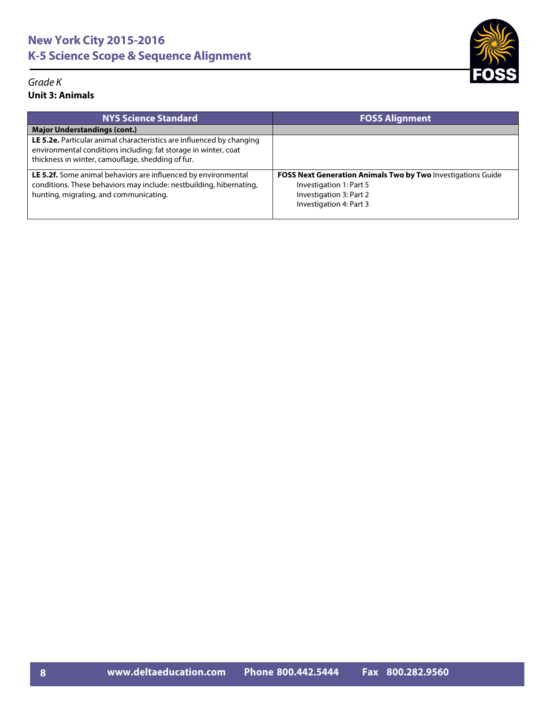#### *Grade K* **Unit 3: Animals**

| <b>NYS Science Standard</b>                                                                                                                                                                   | <b>FOSS Alignment</b>                                                                                                                         |
|-----------------------------------------------------------------------------------------------------------------------------------------------------------------------------------------------|-----------------------------------------------------------------------------------------------------------------------------------------------|
| <b>Major Understandings (cont.)</b>                                                                                                                                                           |                                                                                                                                               |
| LE 5.2e. Particular animal characteristics are influenced by changing<br>environmental conditions including: fat storage in winter, coat<br>thickness in winter, camouflage, shedding of fur. |                                                                                                                                               |
| LE 5.2f. Some animal behaviors are influenced by environmental<br>conditions. These behaviors may include: nestbuilding, hibernating,<br>hunting, migrating, and communicating.               | FOSS Next Generation Animals Two by Two Investigations Guide<br>Investigation 1: Part 5<br>Investigation 3: Part 2<br>Investigation 4: Part 3 |

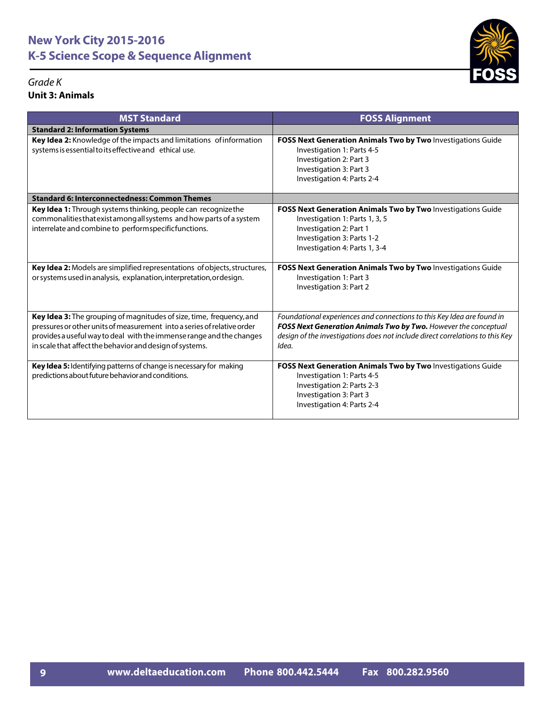#### *Grade K* **Unit 3: Animals**

| <b>MST Standard</b>                                                                                                                                                                                                                                                                 | <b>FOSS Alignment</b>                                                                                                                                                                                                               |
|-------------------------------------------------------------------------------------------------------------------------------------------------------------------------------------------------------------------------------------------------------------------------------------|-------------------------------------------------------------------------------------------------------------------------------------------------------------------------------------------------------------------------------------|
| <b>Standard 2: Information Systems</b>                                                                                                                                                                                                                                              |                                                                                                                                                                                                                                     |
| Key Idea 2: Knowledge of the impacts and limitations of information<br>systems is essential to its effective and ethical use.                                                                                                                                                       | FOSS Next Generation Animals Two by Two Investigations Guide<br>Investigation 1: Parts 4-5<br>Investigation 2: Part 3<br>Investigation 3: Part 3<br>Investigation 4: Parts 2-4                                                      |
| <b>Standard 6: Interconnectedness: Common Themes</b>                                                                                                                                                                                                                                |                                                                                                                                                                                                                                     |
| Key Idea 1: Through systems thinking, people can recognize the<br>commonalities that exist among all systems and how parts of a system<br>interrelate and combine to performspecificfunctions.                                                                                      | FOSS Next Generation Animals Two by Two Investigations Guide<br>Investigation 1: Parts 1, 3, 5<br>Investigation 2: Part 1<br>Investigation 3: Parts 1-2<br>Investigation 4: Parts 1, 3-4                                            |
| Key Idea 2: Models are simplified representations of objects, structures,<br>or systems used in analysis, explanation, interpretation, ordesign.                                                                                                                                    | FOSS Next Generation Animals Two by Two Investigations Guide<br>Investigation 1: Part 3<br>Investigation 3: Part 2                                                                                                                  |
| Key Idea 3: The grouping of magnitudes of size, time, frequency, and<br>pressures or other units of measurement into a series of relative order<br>provides a useful way to deal with the immense range and the changes<br>in scale that affect the behavior and design of systems. | Foundational experiences and connections to this Key Idea are found in<br>FOSS Next Generation Animals Two by Two. However the conceptual<br>design of the investigations does not include direct correlations to this Key<br>Idea. |
| Key Idea 5: Identifying patterns of change is necessary for making<br>predictions about future behavior and conditions.                                                                                                                                                             | FOSS Next Generation Animals Two by Two Investigations Guide<br>Investigation 1: Parts 4-5<br>Investigation 2: Parts 2-3<br>Investigation 3: Part 3<br>Investigation 4: Parts 2-4                                                   |

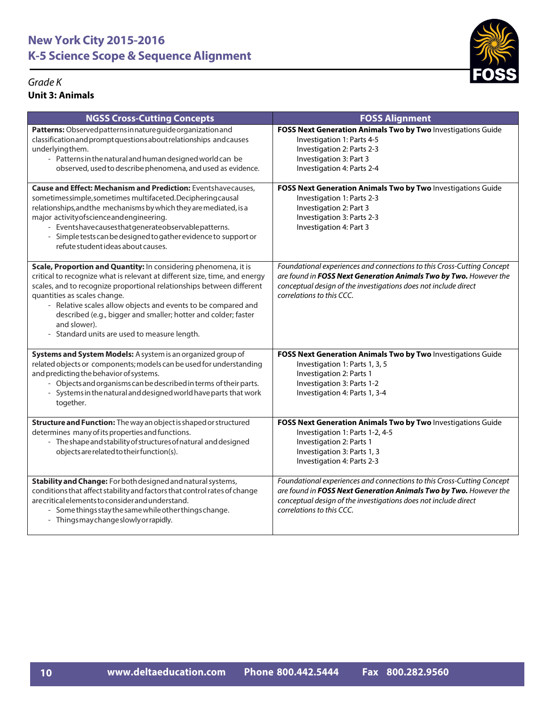#### *Grade K* **Unit 3: Animals**



| <b>NGSS Cross-Cutting Concepts</b>                                                                                                                                                                                                                                                                                                                                                                                                                        | <b>FOSS Alignment</b>                                                                                                                                                                                                                       |
|-----------------------------------------------------------------------------------------------------------------------------------------------------------------------------------------------------------------------------------------------------------------------------------------------------------------------------------------------------------------------------------------------------------------------------------------------------------|---------------------------------------------------------------------------------------------------------------------------------------------------------------------------------------------------------------------------------------------|
| Patterns: Observed patterns in nature guide organization and<br>classification and prompt questions about relationships and causes<br>underlyingthem.<br>- Patterns in the natural and human designed world can be<br>observed, used to describe phenomena, and used as evidence.                                                                                                                                                                         | FOSS Next Generation Animals Two by Two Investigations Guide<br>Investigation 1: Parts 4-5<br>Investigation 2: Parts 2-3<br>Investigation 3: Part 3<br>Investigation 4: Parts 2-4                                                           |
| <b>Cause and Effect: Mechanism and Prediction: Eventshavecauses,</b><br>sometimessimple, sometimes multifaceted. Deciphering causal<br>relationships, and the mechanisms by which they are mediated, is a<br>major activity of science and engineering.<br>- Eventshavecausesthatgenerateobservablepatterns.<br>- Simple tests can be designed to gather evidence to support or<br>refute student ideas about causes.                                     | FOSS Next Generation Animals Two by Two Investigations Guide<br>Investigation 1: Parts 2-3<br>Investigation 2: Part 3<br>Investigation 3: Parts 2-3<br>Investigation 4: Part 3                                                              |
| Scale, Proportion and Quantity: In considering phenomena, it is<br>critical to recognize what is relevant at different size, time, and energy<br>scales, and to recognize proportional relationships between different<br>quantities as scales change.<br>- Relative scales allow objects and events to be compared and<br>described (e.g., bigger and smaller; hotter and colder; faster<br>and slower).<br>- Standard units are used to measure length. | Foundational experiences and connections to this Cross-Cutting Concept<br>are found in FOSS Next Generation Animals Two by Two. However the<br>conceptual design of the investigations does not include direct<br>correlations to this CCC. |
| Systems and System Models: A system is an organized group of<br>related objects or components; models can be used for understanding<br>and predicting the behavior of systems.<br>- Objects and organisms can be described in terms of their parts.<br>- Systems in the natural and designed world have parts that work<br>together.                                                                                                                      | FOSS Next Generation Animals Two by Two Investigations Guide<br>Investigation 1: Parts 1, 3, 5<br>Investigation 2: Parts 1<br>Investigation 3: Parts 1-2<br>Investigation 4: Parts 1, 3-4                                                   |
| Structure and Function: The way an object is shaped or structured<br>determines many of its properties and functions.<br>- The shape and stability of structures of natural and designed<br>objects are related to their function(s).                                                                                                                                                                                                                     | FOSS Next Generation Animals Two by Two Investigations Guide<br>Investigation 1: Parts 1-2, 4-5<br>Investigation 2: Parts 1<br>Investigation 3: Parts 1, 3<br>Investigation 4: Parts 2-3                                                    |
| Stability and Change: For both designed and natural systems,<br>conditions that affect stability and factors that control rates of change<br>are critical elements to consider and understand.<br>- Some things stay the same while other things change.<br>- Things may change slowly or rapidly.                                                                                                                                                        | Foundational experiences and connections to this Cross-Cutting Concept<br>are found in FOSS Next Generation Animals Two by Two. However the<br>conceptual design of the investigations does not include direct<br>correlations to this CCC. |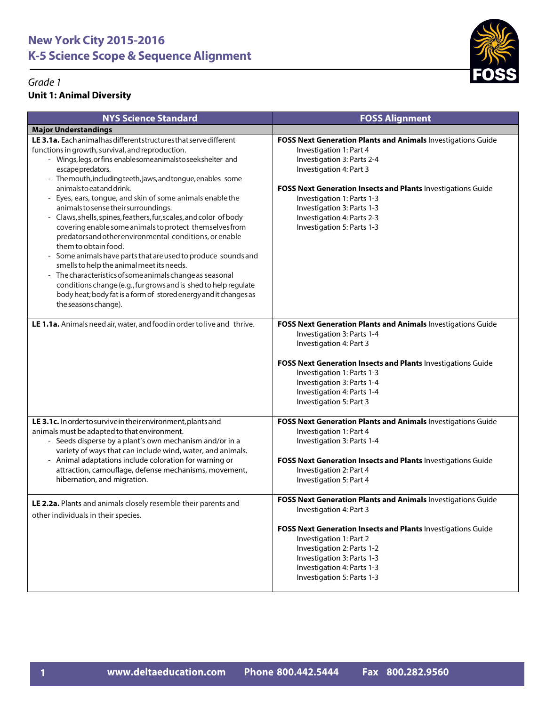

| <b>NYS Science Standard</b>                                                                                                                                                                                                                                                                                                                                                                                                                                                                                                                                                                                                                                                                                                                                                                                                                                                                                                                                                                                                                  | <b>FOSS Alignment</b>                                                                                                                                                                                                                                                                                                                    |
|----------------------------------------------------------------------------------------------------------------------------------------------------------------------------------------------------------------------------------------------------------------------------------------------------------------------------------------------------------------------------------------------------------------------------------------------------------------------------------------------------------------------------------------------------------------------------------------------------------------------------------------------------------------------------------------------------------------------------------------------------------------------------------------------------------------------------------------------------------------------------------------------------------------------------------------------------------------------------------------------------------------------------------------------|------------------------------------------------------------------------------------------------------------------------------------------------------------------------------------------------------------------------------------------------------------------------------------------------------------------------------------------|
| <b>Major Understandings</b>                                                                                                                                                                                                                                                                                                                                                                                                                                                                                                                                                                                                                                                                                                                                                                                                                                                                                                                                                                                                                  |                                                                                                                                                                                                                                                                                                                                          |
| LE 3.1a. Each animal has different structures that serve different<br>functions in growth, survival, and reproduction.<br>- Wings, legs, or fins enablesome animals to seekshelter and<br>escape predators.<br>- The mouth, including teeth, jaws, and tongue, enables some<br>animals to eat and drink.<br>Eyes, ears, tongue, and skin of some animals enablethe<br>$\overline{\phantom{a}}$<br>animals to sense their surroundings.<br>Claws, shells, spines, feathers, fur, scales, and color of body<br>$\blacksquare$<br>covering enable some animals to protect themselves from<br>predators and other environmental conditions, or enable<br>them to obtain food.<br>- Some animals have parts that are used to produce sounds and<br>smells to help the animal meet its needs.<br>The characteristics of some animals change as seasonal<br>$\overline{\phantom{a}}$<br>conditions change (e.g., fur grows and is shed to help regulate<br>body heat; body fat is a form of stored energy and it changes as<br>the seasons change). | FOSS Next Generation Plants and Animals Investigations Guide<br>Investigation 1: Part 4<br>Investigation 3: Parts 2-4<br>Investigation 4: Part 3<br>FOSS Next Generation Insects and Plants Investigations Guide<br>Investigation 1: Parts 1-3<br>Investigation 3: Parts 1-3<br>Investigation 4: Parts 2-3<br>Investigation 5: Parts 1-3 |
| LE 1.1a. Animals need air, water, and food in order to live and thrive.                                                                                                                                                                                                                                                                                                                                                                                                                                                                                                                                                                                                                                                                                                                                                                                                                                                                                                                                                                      | FOSS Next Generation Plants and Animals Investigations Guide<br>Investigation 3: Parts 1-4<br>Investigation 4: Part 3<br>FOSS Next Generation Insects and Plants Investigations Guide<br>Investigation 1: Parts 1-3<br>Investigation 3: Parts 1-4<br>Investigation 4: Parts 1-4<br>Investigation 5: Part 3                               |
| LE 3.1c. In order to survive in their environment, plants and<br>animals must be adapted to that environment.<br>- Seeds disperse by a plant's own mechanism and/or in a<br>variety of ways that can include wind, water, and animals.<br>- Animal adaptations include coloration for warning or<br>attraction, camouflage, defense mechanisms, movement,<br>hibernation, and migration.                                                                                                                                                                                                                                                                                                                                                                                                                                                                                                                                                                                                                                                     | FOSS Next Generation Plants and Animals Investigations Guide<br>Investigation 1: Part 4<br>Investigation 3: Parts 1-4<br>FOSS Next Generation Insects and Plants Investigations Guide<br>Investigation 2: Part 4<br>Investigation 5: Part 4                                                                                              |
| LE 2.2a. Plants and animals closely resemble their parents and<br>other individuals in their species.                                                                                                                                                                                                                                                                                                                                                                                                                                                                                                                                                                                                                                                                                                                                                                                                                                                                                                                                        | FOSS Next Generation Plants and Animals Investigations Guide<br>Investigation 4: Part 3<br>FOSS Next Generation Insects and Plants Investigations Guide<br>Investigation 1: Part 2<br>Investigation 2: Parts 1-2<br>Investigation 3: Parts 1-3<br>Investigation 4: Parts 1-3<br>Investigation 5: Parts 1-3                               |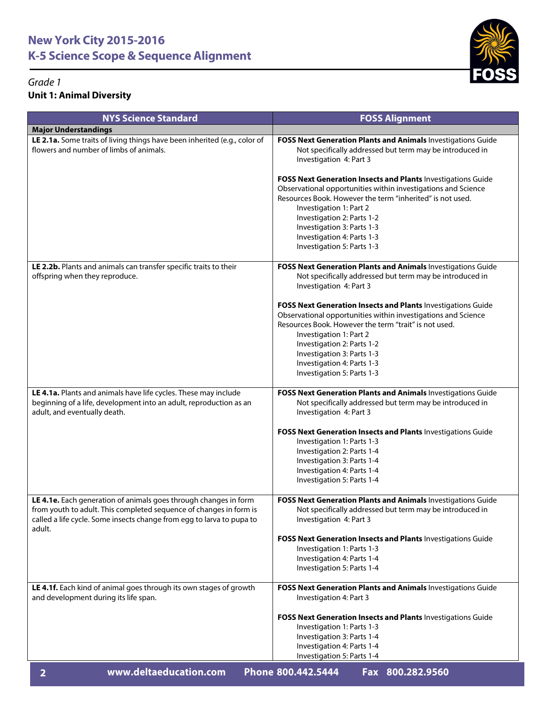

| <b>NYS Science Standard</b>                                                                                                                                                                                               | <b>FOSS Alignment</b>                                                                                                                                                                                                                                                                                                                         |
|---------------------------------------------------------------------------------------------------------------------------------------------------------------------------------------------------------------------------|-----------------------------------------------------------------------------------------------------------------------------------------------------------------------------------------------------------------------------------------------------------------------------------------------------------------------------------------------|
| <b>Major Understandings</b>                                                                                                                                                                                               |                                                                                                                                                                                                                                                                                                                                               |
| LE 2.1a. Some traits of living things have been inherited (e.g., color of<br>flowers and number of limbs of animals.                                                                                                      | FOSS Next Generation Plants and Animals Investigations Guide<br>Not specifically addressed but term may be introduced in<br>Investigation 4: Part 3                                                                                                                                                                                           |
|                                                                                                                                                                                                                           | FOSS Next Generation Insects and Plants Investigations Guide<br>Observational opportunities within investigations and Science<br>Resources Book. However the term "inherited" is not used.<br>Investigation 1: Part 2<br>Investigation 2: Parts 1-2<br>Investigation 3: Parts 1-3<br>Investigation 4: Parts 1-3<br>Investigation 5: Parts 1-3 |
| LE 2.2b. Plants and animals can transfer specific traits to their<br>offspring when they reproduce.                                                                                                                       | FOSS Next Generation Plants and Animals Investigations Guide<br>Not specifically addressed but term may be introduced in<br>Investigation 4: Part 3                                                                                                                                                                                           |
|                                                                                                                                                                                                                           | FOSS Next Generation Insects and Plants Investigations Guide<br>Observational opportunities within investigations and Science<br>Resources Book. However the term "trait" is not used.<br>Investigation 1: Part 2<br>Investigation 2: Parts 1-2<br>Investigation 3: Parts 1-3<br>Investigation 4: Parts 1-3<br>Investigation 5: Parts 1-3     |
| LE 4.1a. Plants and animals have life cycles. These may include<br>beginning of a life, development into an adult, reproduction as an<br>adult, and eventually death.                                                     | FOSS Next Generation Plants and Animals Investigations Guide<br>Not specifically addressed but term may be introduced in<br>Investigation 4: Part 3                                                                                                                                                                                           |
|                                                                                                                                                                                                                           | FOSS Next Generation Insects and Plants Investigations Guide<br>Investigation 1: Parts 1-3<br>Investigation 2: Parts 1-4<br>Investigation 3: Parts 1-4<br>Investigation 4: Parts 1-4<br>Investigation 5: Parts 1-4                                                                                                                            |
| LE 4.1e. Each generation of animals goes through changes in form<br>from youth to adult. This completed sequence of changes in form is<br>called a life cycle. Some insects change from egg to larva to pupa to<br>adult. | FOSS Next Generation Plants and Animals Investigations Guide<br>Not specifically addressed but term may be introduced in<br>Investigation 4: Part 3                                                                                                                                                                                           |
|                                                                                                                                                                                                                           | FOSS Next Generation Insects and Plants Investigations Guide<br>Investigation 1: Parts 1-3<br>Investigation 4: Parts 1-4<br>Investigation 5: Parts 1-4                                                                                                                                                                                        |
| LE 4.1f. Each kind of animal goes through its own stages of growth<br>and development during its life span.                                                                                                               | FOSS Next Generation Plants and Animals Investigations Guide<br>Investigation 4: Part 3                                                                                                                                                                                                                                                       |
|                                                                                                                                                                                                                           | FOSS Next Generation Insects and Plants Investigations Guide<br>Investigation 1: Parts 1-3<br>Investigation 3: Parts 1-4<br>Investigation 4: Parts 1-4<br>Investigation 5: Parts 1-4                                                                                                                                                          |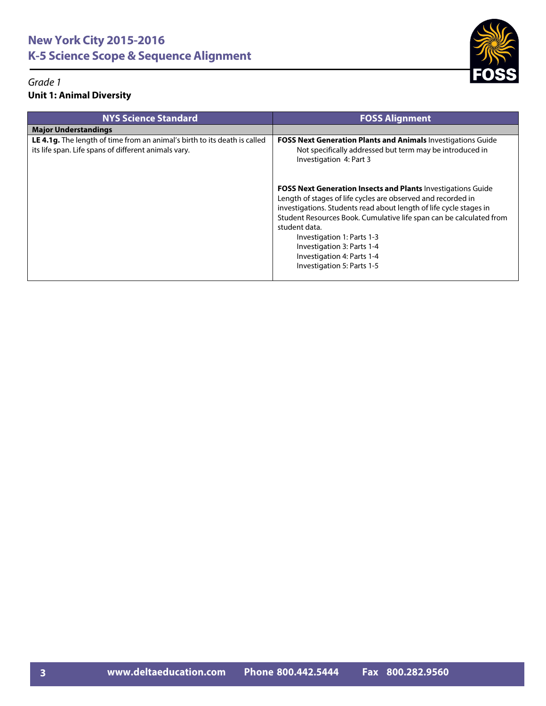

| <b>NYS Science Standard</b>                                                                                                       | <b>FOSS Alignment</b>                                                                                                                                                                                                                                                                                                                                                                                                     |
|-----------------------------------------------------------------------------------------------------------------------------------|---------------------------------------------------------------------------------------------------------------------------------------------------------------------------------------------------------------------------------------------------------------------------------------------------------------------------------------------------------------------------------------------------------------------------|
| <b>Major Understandings</b>                                                                                                       |                                                                                                                                                                                                                                                                                                                                                                                                                           |
| LE 4.1g. The length of time from an animal's birth to its death is called<br>its life span. Life spans of different animals vary. | <b>FOSS Next Generation Plants and Animals Investigations Guide</b><br>Not specifically addressed but term may be introduced in<br>Investigation 4: Part 3                                                                                                                                                                                                                                                                |
|                                                                                                                                   | <b>FOSS Next Generation Insects and Plants Investigations Guide</b><br>Length of stages of life cycles are observed and recorded in<br>investigations. Students read about length of life cycle stages in<br>Student Resources Book. Cumulative life span can be calculated from<br>student data.<br>Investigation 1: Parts 1-3<br>Investigation 3: Parts 1-4<br>Investigation 4: Parts 1-4<br>Investigation 5: Parts 1-5 |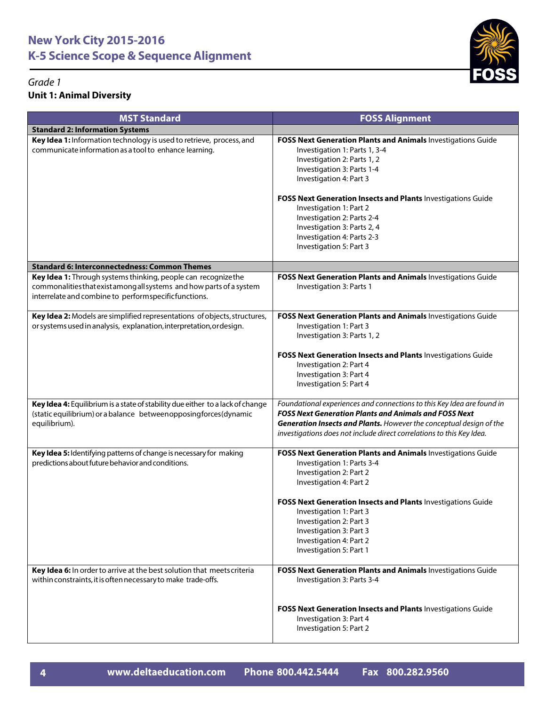

| <b>MST Standard</b>                                                                                                                                                                            | <b>FOSS Alignment</b>                                                                                                                                                                                                                                                                                                                                                                                  |
|------------------------------------------------------------------------------------------------------------------------------------------------------------------------------------------------|--------------------------------------------------------------------------------------------------------------------------------------------------------------------------------------------------------------------------------------------------------------------------------------------------------------------------------------------------------------------------------------------------------|
| <b>Standard 2: Information Systems</b>                                                                                                                                                         |                                                                                                                                                                                                                                                                                                                                                                                                        |
| Key Idea 1: Information technology is used to retrieve, process, and<br>communicate information as a tool to enhance learning.                                                                 | FOSS Next Generation Plants and Animals Investigations Guide<br>Investigation 1: Parts 1, 3-4<br>Investigation 2: Parts 1, 2<br>Investigation 3: Parts 1-4<br>Investigation 4: Part 3<br>FOSS Next Generation Insects and Plants Investigations Guide<br>Investigation 1: Part 2<br>Investigation 2: Parts 2-4<br>Investigation 3: Parts 2, 4<br>Investigation 4: Parts 2-3<br>Investigation 5: Part 3 |
| <b>Standard 6: Interconnectedness: Common Themes</b>                                                                                                                                           |                                                                                                                                                                                                                                                                                                                                                                                                        |
| Key Idea 1: Through systems thinking, people can recognize the<br>commonalities that exist among all systems and how parts of a system<br>interrelate and combine to performspecificfunctions. | FOSS Next Generation Plants and Animals Investigations Guide<br>Investigation 3: Parts 1                                                                                                                                                                                                                                                                                                               |
| Key Idea 2: Models are simplified representations of objects, structures,<br>or systems used in analysis, explanation, interpretation, ordesign.                                               | FOSS Next Generation Plants and Animals Investigations Guide<br>Investigation 1: Part 3<br>Investigation 3: Parts 1, 2<br>FOSS Next Generation Insects and Plants Investigations Guide<br>Investigation 2: Part 4<br>Investigation 3: Part 4<br>Investigation 5: Part 4                                                                                                                                |
| Key Idea 4: Equilibrium is a state of stability due either to a lack of change<br>(static equilibrium) or a balance betweenopposingforces (dynamic<br>equilibrium).                            | Foundational experiences and connections to this Key Idea are found in<br><b>FOSS Next Generation Plants and Animals and FOSS Next</b><br>Generation Insects and Plants. However the conceptual design of the<br>investigations does not include direct correlations to this Key Idea.                                                                                                                 |
| Key Idea 5: Identifying patterns of change is necessary for making<br>predictions about future behavior and conditions.                                                                        | FOSS Next Generation Plants and Animals Investigations Guide<br>Investigation 1: Parts 3-4<br>Investigation 2: Part 2<br>Investigation 4: Part 2<br>FOSS Next Generation Insects and Plants Investigations Guide<br>Investigation 1: Part 3<br>Investigation 2: Part 3<br>Investigation 3: Part 3<br>Investigation 4: Part 2<br>Investigation 5: Part 1                                                |
| Key Idea 6: In order to arrive at the best solution that meets criteria<br>within constraints, it is often necessary to make trade-offs.                                                       | FOSS Next Generation Plants and Animals Investigations Guide<br>Investigation 3: Parts 3-4<br>FOSS Next Generation Insects and Plants Investigations Guide<br>Investigation 3: Part 4                                                                                                                                                                                                                  |
|                                                                                                                                                                                                | Investigation 5: Part 2                                                                                                                                                                                                                                                                                                                                                                                |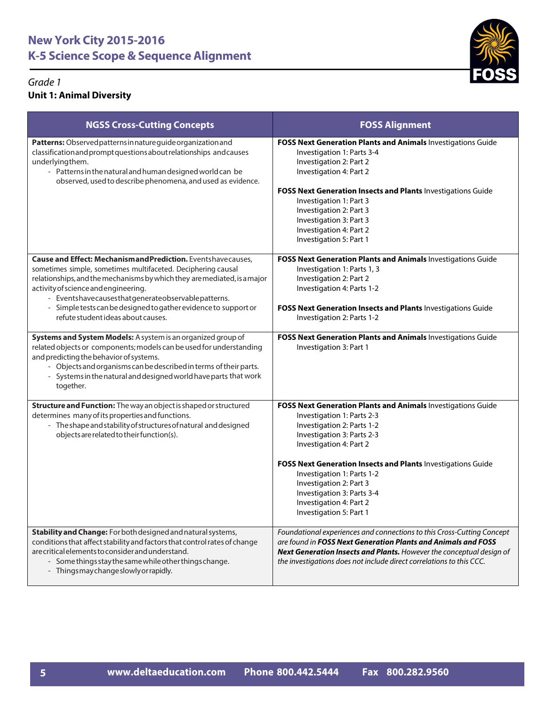

| <b>NGSS Cross-Cutting Concepts</b>                                                                                                                                                                                                                                                                                                                                                                             | <b>FOSS Alignment</b>                                                                                                                                                                                                                                                                                                                                                                          |
|----------------------------------------------------------------------------------------------------------------------------------------------------------------------------------------------------------------------------------------------------------------------------------------------------------------------------------------------------------------------------------------------------------------|------------------------------------------------------------------------------------------------------------------------------------------------------------------------------------------------------------------------------------------------------------------------------------------------------------------------------------------------------------------------------------------------|
| Patterns: Observed patterns in nature guide organization and<br>classification and prompt questions about relationships and causes<br>underlyingthem.<br>- Patterns in the natural and human designed world can be<br>observed, used to describe phenomena, and used as evidence.                                                                                                                              | FOSS Next Generation Plants and Animals Investigations Guide<br>Investigation 1: Parts 3-4<br>Investigation 2: Part 2<br>Investigation 4: Part 2<br><b>FOSS Next Generation Insects and Plants Investigations Guide</b><br>Investigation 1: Part 3<br>Investigation 2: Part 3<br>Investigation 3: Part 3<br>Investigation 4: Part 2<br>Investigation 5: Part 1                                 |
| Cause and Effect: Mechanismand Prediction. Eventshavecauses,<br>sometimes simple, sometimes multifaceted. Deciphering causal<br>relationships, and the mechanisms by which they are mediated, is a major<br>activity of science and engineering.<br>- Eventshavecausesthatgenerateobservablepatterns.<br>- Simple tests can be designed to gather evidence to support or<br>refute student ideas about causes. | FOSS Next Generation Plants and Animals Investigations Guide<br>Investigation 1: Parts 1, 3<br>Investigation 2: Part 2<br>Investigation 4: Parts 1-2<br>FOSS Next Generation Insects and Plants Investigations Guide<br>Investigation 2: Parts 1-2                                                                                                                                             |
| Systems and System Models: A system is an organized group of<br>related objects or components; models can be used for understanding<br>and predicting the behavior of systems.<br>- Objects and organisms can be described in terms of their parts.<br>- Systems in the natural and designed world have parts that work<br>together.                                                                           | FOSS Next Generation Plants and Animals Investigations Guide<br>Investigation 3: Part 1                                                                                                                                                                                                                                                                                                        |
| Structure and Function: The way an object is shaped or structured<br>determines many of its properties and functions.<br>- The shape and stability of structures of natural and designed<br>objects are related to their function(s).                                                                                                                                                                          | FOSS Next Generation Plants and Animals Investigations Guide<br>Investigation 1: Parts 2-3<br>Investigation 2: Parts 1-2<br>Investigation 3: Parts 2-3<br>Investigation 4: Part 2<br>FOSS Next Generation Insects and Plants Investigations Guide<br>Investigation 1: Parts 1-2<br>Investigation 2: Part 3<br>Investigation 3: Parts 3-4<br>Investigation 4: Part 2<br>Investigation 5: Part 1 |
| Stability and Change: For both designed and natural systems,<br>conditions that affect stability and factors that control rates of change<br>are critical elements to consider and understand.<br>- Some things stay the same while other things change.<br>- Things may change slowly or rapidly.                                                                                                             | Foundational experiences and connections to this Cross-Cutting Concept<br>are found in FOSS Next Generation Plants and Animals and FOSS<br>Next Generation Insects and Plants. However the conceptual design of<br>the investigations does not include direct correlations to this CCC.                                                                                                        |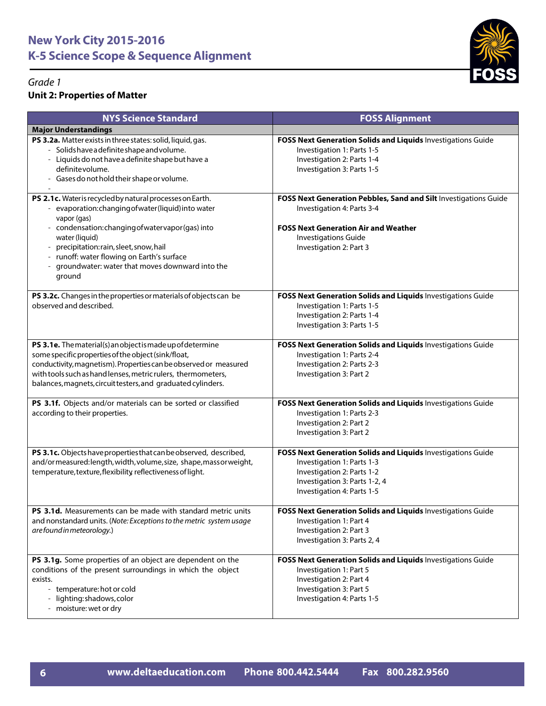## **Unit 2: Properties of Matter**



| <b>NYS Science Standard</b>                                                                                                                                                                                                                                                                                                                                       | <b>FOSS Alignment</b>                                                                                                                                                                                   |
|-------------------------------------------------------------------------------------------------------------------------------------------------------------------------------------------------------------------------------------------------------------------------------------------------------------------------------------------------------------------|---------------------------------------------------------------------------------------------------------------------------------------------------------------------------------------------------------|
| <b>Major Understandings</b>                                                                                                                                                                                                                                                                                                                                       |                                                                                                                                                                                                         |
| PS 3.2a. Matter exists in three states: solid, liquid, gas.<br>- Solids have a definite shape and volume.<br>- Liquids do not have a definite shape but have a<br>definite volume.<br>- Gases do not hold their shape or volume.                                                                                                                                  | FOSS Next Generation Solids and Liquids Investigations Guide<br>Investigation 1: Parts 1-5<br>Investigation 2: Parts 1-4<br>Investigation 3: Parts 1-5                                                  |
| PS 2.1c. Water is recycled by natural processes on Earth.<br>- evaporation: changing of water (liquid) into water<br>vapor (gas)<br>- condensation: changing of water vapor (gas) into<br>water (liquid)<br>- precipitation: rain, sleet, snow, hail<br>- runoff: water flowing on Earth's surface<br>- groundwater: water that moves downward into the<br>ground | FOSS Next Generation Pebbles, Sand and Silt Investigations Guide<br>Investigation 4: Parts 3-4<br><b>FOSS Next Generation Air and Weather</b><br><b>Investigations Guide</b><br>Investigation 2: Part 3 |
| PS 3.2c. Changes in the properties or materials of objects can be<br>observed and described.                                                                                                                                                                                                                                                                      | FOSS Next Generation Solids and Liquids Investigations Guide<br>Investigation 1: Parts 1-5<br>Investigation 2: Parts 1-4<br>Investigation 3: Parts 1-5                                                  |
| PS 3.1e. The material(s) an object is made up of determine<br>some specific properties of the object (sink/float,<br>conductivity, magnetism). Properties can be observed or measured<br>with tools such as hand lenses, metric rulers, thermometers,<br>balances, magnets, circuit testers, and graduated cylinders.                                             | FOSS Next Generation Solids and Liquids Investigations Guide<br>Investigation 1: Parts 2-4<br>Investigation 2: Parts 2-3<br>Investigation 3: Part 2                                                     |
| PS 3.1f. Objects and/or materials can be sorted or classified<br>according to their properties.                                                                                                                                                                                                                                                                   | FOSS Next Generation Solids and Liquids Investigations Guide<br>Investigation 1: Parts 2-3<br>Investigation 2: Part 2<br>Investigation 3: Part 2                                                        |
| PS 3.1c. Objects have properties that can be observed, described,<br>and/ormeasured:length, width, volume, size, shape, massor weight,<br>temperature, texture, flexibility, reflectiveness of light.                                                                                                                                                             | FOSS Next Generation Solids and Liquids Investigations Guide<br>Investigation 1: Parts 1-3<br>Investigation 2: Parts 1-2<br>Investigation 3: Parts 1-2, 4<br>Investigation 4: Parts 1-5                 |
| <b>PS 3.1d.</b> Measurements can be made with standard metric units<br>and nonstandard units. (Note: Exceptions to the metric system usage<br>are found in meteorology.)                                                                                                                                                                                          | FOSS Next Generation Solids and Liquids Investigations Guide<br>Investigation 1: Part 4<br>Investigation 2: Part 3<br>Investigation 3: Parts 2, 4                                                       |
| PS 3.1g. Some properties of an object are dependent on the<br>conditions of the present surroundings in which the object<br>exists.<br>- temperature: hot or cold<br>- lighting: shadows, color<br>- moisture: wet or dry                                                                                                                                         | FOSS Next Generation Solids and Liquids Investigations Guide<br>Investigation 1: Part 5<br>Investigation 2: Part 4<br>Investigation 3: Part 5<br>Investigation 4: Parts 1-5                             |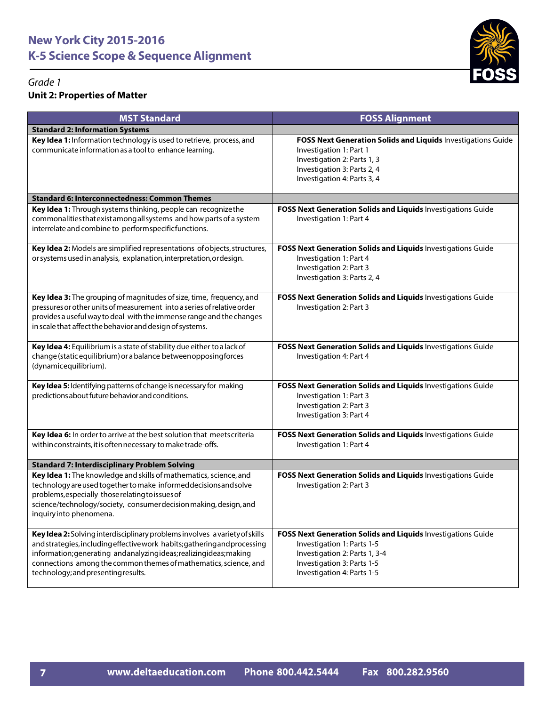

#### *Grade 1* **Unit 2: Properties of Matter**

| <b>MST Standard</b>                                                                                                                                                                                                                                                                                                                      | <b>FOSS Alignment</b>                                                                                                                                                                   |
|------------------------------------------------------------------------------------------------------------------------------------------------------------------------------------------------------------------------------------------------------------------------------------------------------------------------------------------|-----------------------------------------------------------------------------------------------------------------------------------------------------------------------------------------|
| <b>Standard 2: Information Systems</b>                                                                                                                                                                                                                                                                                                   |                                                                                                                                                                                         |
| Key Idea 1: Information technology is used to retrieve, process, and<br>communicate information as a tool to enhance learning.                                                                                                                                                                                                           | FOSS Next Generation Solids and Liquids Investigations Guide<br>Investigation 1: Part 1<br>Investigation 2: Parts 1, 3<br>Investigation 3: Parts 2, 4<br>Investigation 4: Parts 3, 4    |
| <b>Standard 6: Interconnectedness: Common Themes</b>                                                                                                                                                                                                                                                                                     |                                                                                                                                                                                         |
| Key Idea 1: Through systems thinking, people can recognize the<br>commonalities that exist among all systems and how parts of a system<br>interrelate and combine to performspecificfunctions.                                                                                                                                           | FOSS Next Generation Solids and Liquids Investigations Guide<br>Investigation 1: Part 4                                                                                                 |
| Key Idea 2: Models are simplified representations of objects, structures,<br>or systems used in analysis, explanation, interpretation, ordesign.                                                                                                                                                                                         | FOSS Next Generation Solids and Liquids Investigations Guide<br>Investigation 1: Part 4<br>Investigation 2: Part 3<br>Investigation 3: Parts 2, 4                                       |
| Key Idea 3: The grouping of magnitudes of size, time, frequency, and<br>pressures or other units of measurement into a series of relative order<br>provides a useful way to deal with the immense range and the changes<br>in scale that affect the behavior and design of systems.                                                      | FOSS Next Generation Solids and Liquids Investigations Guide<br>Investigation 2: Part 3                                                                                                 |
| Key Idea 4: Equilibrium is a state of stability due either to a lack of<br>change (static equilibrium) or a balance betweenopposingforces<br>(dynamicequilibrium).                                                                                                                                                                       | FOSS Next Generation Solids and Liquids Investigations Guide<br>Investigation 4: Part 4                                                                                                 |
| Key Idea 5: Identifying patterns of change is necessary for making<br>predictions about future behavior and conditions.                                                                                                                                                                                                                  | FOSS Next Generation Solids and Liquids Investigations Guide<br>Investigation 1: Part 3<br>Investigation 2: Part 3<br>Investigation 3: Part 4                                           |
| Key Idea 6: In order to arrive at the best solution that meets criteria<br>within constraints, it is often necessary to make trade-offs.                                                                                                                                                                                                 | FOSS Next Generation Solids and Liquids Investigations Guide<br>Investigation 1: Part 4                                                                                                 |
| <b>Standard 7: Interdisciplinary Problem Solving</b>                                                                                                                                                                                                                                                                                     |                                                                                                                                                                                         |
| Key Idea 1: The knowledge and skills of mathematics, science, and<br>technology are used together to make informed decisions and solve<br>problems, especially those relating to issues of<br>science/technology/society, consumer decision making, design, and<br>inquiryinto phenomena.                                                | FOSS Next Generation Solids and Liquids Investigations Guide<br>Investigation 2: Part 3                                                                                                 |
| Key Idea 2: Solving interdisciplinary problems involves a variety of skills<br>and strategies, including effective work habits; gathering and processing<br>information; generating andanalyzingideas; realizingideas; making<br>connections among the common themes of mathematics, science, and<br>technology; and presenting results. | FOSS Next Generation Solids and Liquids Investigations Guide<br>Investigation 1: Parts 1-5<br>Investigation 2: Parts 1, 3-4<br>Investigation 3: Parts 1-5<br>Investigation 4: Parts 1-5 |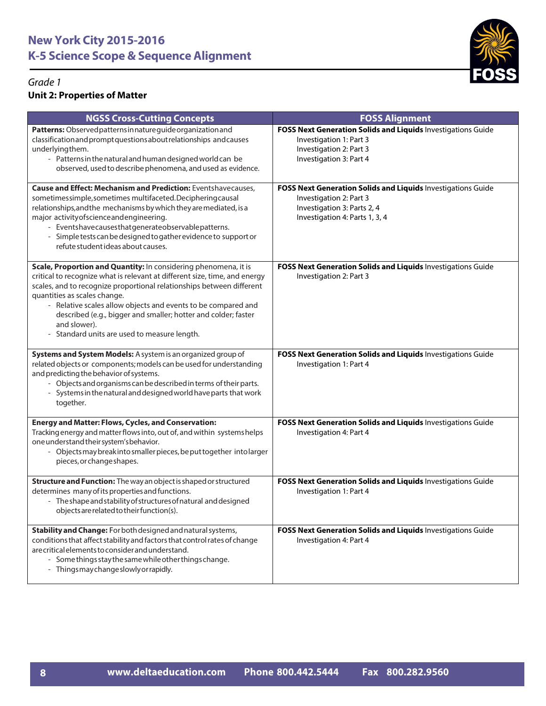

## **Unit 2: Properties of Matter**

| <b>NGSS Cross-Cutting Concepts</b>                                                                                                                                                                                                                                                                                                                                                                                                                        | <b>FOSS Alignment</b>                                                                                                                                    |
|-----------------------------------------------------------------------------------------------------------------------------------------------------------------------------------------------------------------------------------------------------------------------------------------------------------------------------------------------------------------------------------------------------------------------------------------------------------|----------------------------------------------------------------------------------------------------------------------------------------------------------|
| Patterns: Observed patterns in nature guide organization and<br>classification and prompt questions about relationships and causes<br>underlyingthem.<br>- Patterns in the natural and human designed world can be<br>observed, used to describe phenomena, and used as evidence.                                                                                                                                                                         | FOSS Next Generation Solids and Liquids Investigations Guide<br>Investigation 1: Part 3<br>Investigation 2: Part 3<br>Investigation 3: Part 4            |
| <b>Cause and Effect: Mechanism and Prediction: Eventshavecauses,</b><br>sometimessimple, sometimes multifaceted. Deciphering causal<br>relationships, and the mechanisms by which they are mediated, is a<br>major activity of science and engineering.<br>- Eventshavecausesthatgenerateobservablepatterns.<br>- Simple tests can be designed to gather evidence to support or<br>refute student ideas about causes.                                     | FOSS Next Generation Solids and Liquids Investigations Guide<br>Investigation 2: Part 3<br>Investigation 3: Parts 2, 4<br>Investigation 4: Parts 1, 3, 4 |
| Scale, Proportion and Quantity: In considering phenomena, it is<br>critical to recognize what is relevant at different size, time, and energy<br>scales, and to recognize proportional relationships between different<br>quantities as scales change.<br>- Relative scales allow objects and events to be compared and<br>described (e.g., bigger and smaller; hotter and colder; faster<br>and slower).<br>- Standard units are used to measure length. | FOSS Next Generation Solids and Liquids Investigations Guide<br>Investigation 2: Part 3                                                                  |
| Systems and System Models: A system is an organized group of<br>related objects or components; models can be used for understanding<br>and predicting the behavior of systems.<br>- Objects and organisms can be described in terms of their parts.<br>- Systems in the natural and designed world have parts that work<br>together.                                                                                                                      | FOSS Next Generation Solids and Liquids Investigations Guide<br>Investigation 1: Part 4                                                                  |
| <b>Energy and Matter: Flows, Cycles, and Conservation:</b><br>Tracking energy and matter flows into, out of, and within systems helps<br>one understand their system's behavior.<br>- Objects may break into smaller pieces, be put together into larger<br>pieces, or change shapes.                                                                                                                                                                     | FOSS Next Generation Solids and Liquids Investigations Guide<br>Investigation 4: Part 4                                                                  |
| Structure and Function: The way an object is shaped or structured<br>determines many of its properties and functions.<br>- The shape and stability of structures of natural and designed<br>objects are related to their function(s).                                                                                                                                                                                                                     | FOSS Next Generation Solids and Liquids Investigations Guide<br>Investigation 1: Part 4                                                                  |
| Stability and Change: For both designed and natural systems,<br>conditions that affect stability and factors that control rates of change<br>are critical elements to consider and understand.<br>- Some things stay the same while other things change.<br>- Thingsmay change slowly or rapidly.                                                                                                                                                         | FOSS Next Generation Solids and Liquids Investigations Guide<br>Investigation 4: Part 4                                                                  |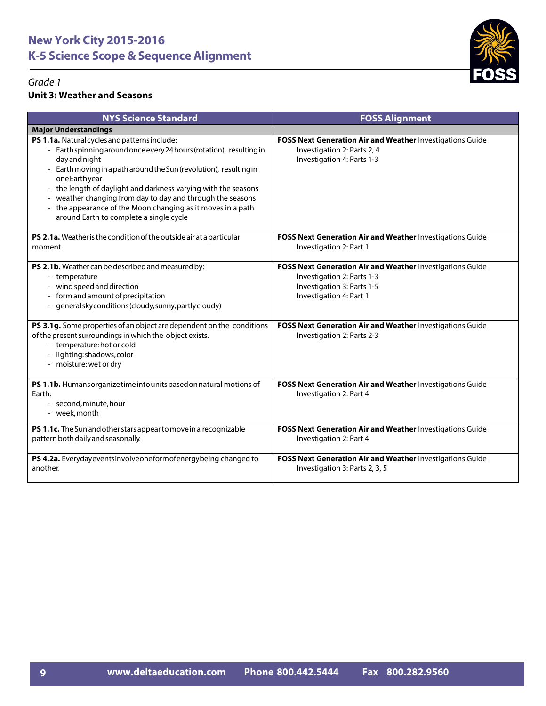



#### **Unit 3: Weather and Seasons**

| <b>NYS Science Standard</b>                                                                                                                                                                                                                                                                                                                                                                                                                                                                                          | <b>FOSS Alignment</b>                                                                                                                            |
|----------------------------------------------------------------------------------------------------------------------------------------------------------------------------------------------------------------------------------------------------------------------------------------------------------------------------------------------------------------------------------------------------------------------------------------------------------------------------------------------------------------------|--------------------------------------------------------------------------------------------------------------------------------------------------|
| <b>Major Understandings</b>                                                                                                                                                                                                                                                                                                                                                                                                                                                                                          |                                                                                                                                                  |
| PS 1.1a. Natural cycles and patterns include:<br>Earth spinning around once every 24 hours (rotation), resulting in<br>day and night<br>Earth moving in a path around the Sun (revolution), resulting in<br>oneEarthyear<br>the length of daylight and darkness varying with the seasons<br>$\overline{\phantom{a}}$<br>weather changing from day to day and through the seasons<br>the appearance of the Moon changing as it moves in a path<br>$\overline{\phantom{a}}$<br>around Earth to complete a single cycle | <b>FOSS Next Generation Air and Weather Investigations Guide</b><br>Investigation 2: Parts 2, 4<br>Investigation 4: Parts 1-3                    |
| PS 2.1a. Weather is the condition of the outside air at a particular<br>moment.                                                                                                                                                                                                                                                                                                                                                                                                                                      | FOSS Next Generation Air and Weather Investigations Guide<br>Investigation 2: Part 1                                                             |
| PS 2.1b. Weather can be described and measured by:<br>- temperature<br>wind speed and direction<br>$\overline{\phantom{a}}$<br>form and amount of precipitation<br>generalsky conditions (cloudy, sunny, partly cloudy)<br>$\overline{\phantom{0}}$                                                                                                                                                                                                                                                                  | FOSS Next Generation Air and Weather Investigations Guide<br>Investigation 2: Parts 1-3<br>Investigation 3: Parts 1-5<br>Investigation 4: Part 1 |
| PS 3.1g. Some properties of an object are dependent on the conditions<br>of the present surroundings in which the object exists.<br>- temperature: hot or cold<br>- lighting: shadows, color<br>- moisture: wet or dry                                                                                                                                                                                                                                                                                               | FOSS Next Generation Air and Weather Investigations Guide<br>Investigation 2: Parts 2-3                                                          |
| PS 1.1b. Humans organize time into units based on natural motions of<br>Earth:<br>- second, minute, hour<br>- week, month                                                                                                                                                                                                                                                                                                                                                                                            | FOSS Next Generation Air and Weather Investigations Guide<br>Investigation 2: Part 4                                                             |
| PS 1.1c. The Sun and other stars appear to move in a recognizable<br>pattern both daily and seasonally.                                                                                                                                                                                                                                                                                                                                                                                                              | FOSS Next Generation Air and Weather Investigations Guide<br>Investigation 2: Part 4                                                             |
| PS 4.2a. Everydayeventsinvolveoneformofenergybeing changed to<br>another                                                                                                                                                                                                                                                                                                                                                                                                                                             | FOSS Next Generation Air and Weather Investigations Guide<br>Investigation 3: Parts 2, 3, 5                                                      |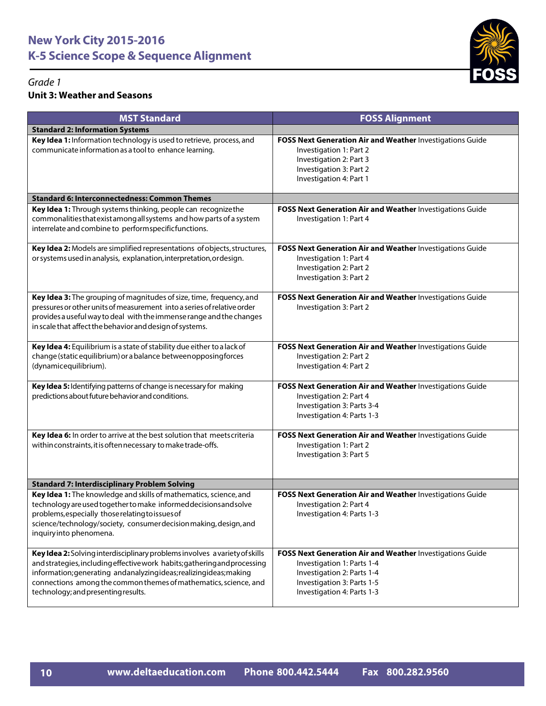

#### *Grade 1* **Unit 3: Weather and Seasons**

| <b>MST Standard</b>                                                                                                                                                                                                                                                                                                                      | <b>FOSS Alignment</b>                                                                                                                                                             |
|------------------------------------------------------------------------------------------------------------------------------------------------------------------------------------------------------------------------------------------------------------------------------------------------------------------------------------------|-----------------------------------------------------------------------------------------------------------------------------------------------------------------------------------|
| <b>Standard 2: Information Systems</b>                                                                                                                                                                                                                                                                                                   |                                                                                                                                                                                   |
| Key Idea 1: Information technology is used to retrieve, process, and<br>communicate information as a tool to enhance learning.                                                                                                                                                                                                           | FOSS Next Generation Air and Weather Investigations Guide<br>Investigation 1: Part 2<br>Investigation 2: Part 3<br>Investigation 3: Part 2<br>Investigation 4: Part 1             |
| <b>Standard 6: Interconnectedness: Common Themes</b>                                                                                                                                                                                                                                                                                     |                                                                                                                                                                                   |
| Key Idea 1: Through systems thinking, people can recognize the<br>commonalities that exist among all systems and how parts of a system<br>interrelate and combine to performspecificfunctions.                                                                                                                                           | FOSS Next Generation Air and Weather Investigations Guide<br>Investigation 1: Part 4                                                                                              |
| Key Idea 2: Models are simplified representations of objects, structures,<br>or systems used in analysis, explanation, interpretation, ordesign.                                                                                                                                                                                         | FOSS Next Generation Air and Weather Investigations Guide<br>Investigation 1: Part 4<br>Investigation 2: Part 2<br>Investigation 3: Part 2                                        |
| Key Idea 3: The grouping of magnitudes of size, time, frequency, and<br>pressures or other units of measurement into a series of relative order<br>provides a useful way to deal with the immense range and the changes<br>in scale that affect the behavior and design of systems.                                                      | FOSS Next Generation Air and Weather Investigations Guide<br>Investigation 3: Part 2                                                                                              |
| Key Idea 4: Equilibrium is a state of stability due either to a lack of<br>change (static equilibrium) or a balance betweenopposing forces<br>(dynamicequilibrium).                                                                                                                                                                      | FOSS Next Generation Air and Weather Investigations Guide<br>Investigation 2: Part 2<br>Investigation 4: Part 2                                                                   |
| Key Idea 5: Identifying patterns of change is necessary for making<br>predictions about future behavior and conditions.                                                                                                                                                                                                                  | FOSS Next Generation Air and Weather Investigations Guide<br>Investigation 2: Part 4<br>Investigation 3: Parts 3-4<br>Investigation 4: Parts 1-3                                  |
| Key Idea 6: In order to arrive at the best solution that meets criteria<br>within constraints, it is often necessary to make trade-offs.                                                                                                                                                                                                 | FOSS Next Generation Air and Weather Investigations Guide<br>Investigation 1: Part 2<br>Investigation 3: Part 5                                                                   |
| <b>Standard 7: Interdisciplinary Problem Solving</b>                                                                                                                                                                                                                                                                                     |                                                                                                                                                                                   |
| Key Idea 1: The knowledge and skills of mathematics, science, and<br>technology are used together to make informed decisions and solve<br>problems, especially those relating to issues of<br>science/technology/society, consumerdecision making, design, and<br>inquiryinto phenomena.                                                 | FOSS Next Generation Air and Weather Investigations Guide<br>Investigation 2: Part 4<br>Investigation 4: Parts 1-3                                                                |
| Key Idea 2: Solving interdisciplinary problems involves a variety of skills<br>and strategies, including effective work habits; gathering and processing<br>information; generating andanalyzingideas; realizingideas; making<br>connections among the common themes of mathematics, science, and<br>technology; and presenting results. | FOSS Next Generation Air and Weather Investigations Guide<br>Investigation 1: Parts 1-4<br>Investigation 2: Parts 1-4<br>Investigation 3: Parts 1-5<br>Investigation 4: Parts 1-3 |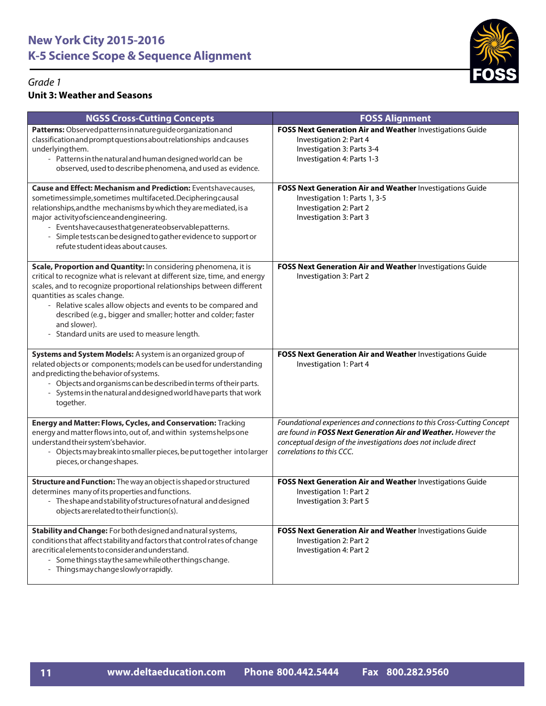

## **Unit 3: Weather and Seasons**

| <b>NGSS Cross-Cutting Concepts</b>                                                                                                                                                                                                                                                                                                                                                                                                                        | <b>FOSS Alignment</b>                                                                                                                                                                                                                    |
|-----------------------------------------------------------------------------------------------------------------------------------------------------------------------------------------------------------------------------------------------------------------------------------------------------------------------------------------------------------------------------------------------------------------------------------------------------------|------------------------------------------------------------------------------------------------------------------------------------------------------------------------------------------------------------------------------------------|
| Patterns: Observed patterns in nature guide organization and<br>classification and prompt questions about relationships and causes<br>underlyingthem.<br>- Patterns in the natural and human designed world can be<br>observed, used to describe phenomena, and used as evidence.                                                                                                                                                                         | FOSS Next Generation Air and Weather Investigations Guide<br>Investigation 2: Part 4<br>Investigation 3: Parts 3-4<br>Investigation 4: Parts 1-3                                                                                         |
| <b>Cause and Effect: Mechanism and Prediction: Eventshavecauses,</b><br>sometimessimple, sometimes multifaceted. Deciphering causal<br>relationships, and the mechanisms by which they are mediated, is a<br>major activity of science and engineering.<br>- Eventshavecausesthatgenerateobservablepatterns.<br>- Simple tests can be designed to gather evidence to support or<br>refute student ideas about causes.                                     | FOSS Next Generation Air and Weather Investigations Guide<br>Investigation 1: Parts 1, 3-5<br>Investigation 2: Part 2<br>Investigation 3: Part 3                                                                                         |
| Scale, Proportion and Quantity: In considering phenomena, it is<br>critical to recognize what is relevant at different size, time, and energy<br>scales, and to recognize proportional relationships between different<br>quantities as scales change.<br>- Relative scales allow objects and events to be compared and<br>described (e.g., bigger and smaller; hotter and colder; faster<br>and slower).<br>- Standard units are used to measure length. | FOSS Next Generation Air and Weather Investigations Guide<br>Investigation 3: Part 2                                                                                                                                                     |
| Systems and System Models: A system is an organized group of<br>related objects or components; models can be used for understanding<br>and predicting the behavior of systems.<br>- Objects and organisms can be described in terms of their parts.<br>- Systems in the natural and designed world have parts that work<br>together.                                                                                                                      | FOSS Next Generation Air and Weather Investigations Guide<br>Investigation 1: Part 4                                                                                                                                                     |
| Energy and Matter: Flows, Cycles, and Conservation: Tracking<br>energy and matter flows into, out of, and within systems helps one<br>understand their system's behavior.<br>- Objects may break into smaller pieces, be put together into larger<br>pieces, or change shapes.                                                                                                                                                                            | Foundational experiences and connections to this Cross-Cutting Concept<br>are found in FOSS Next Generation Air and Weather. However the<br>conceptual design of the investigations does not include direct<br>correlations to this CCC. |
| Structure and Function: The way an object is shaped or structured<br>determines many of its properties and functions.<br>- The shape and stability of structures of natural and designed<br>objects are related to their function(s).                                                                                                                                                                                                                     | FOSS Next Generation Air and Weather Investigations Guide<br>Investigation 1: Part 2<br>Investigation 3: Part 5                                                                                                                          |
| Stability and Change: For both designed and natural systems,<br>conditions that affect stability and factors that control rates of change<br>are critical elements to consider and understand.<br>- Some things stay the same while other things change.<br>- Thingsmaychangeslowlyorrapidly.                                                                                                                                                             | FOSS Next Generation Air and Weather Investigations Guide<br>Investigation 2: Part 2<br>Investigation 4: Part 2                                                                                                                          |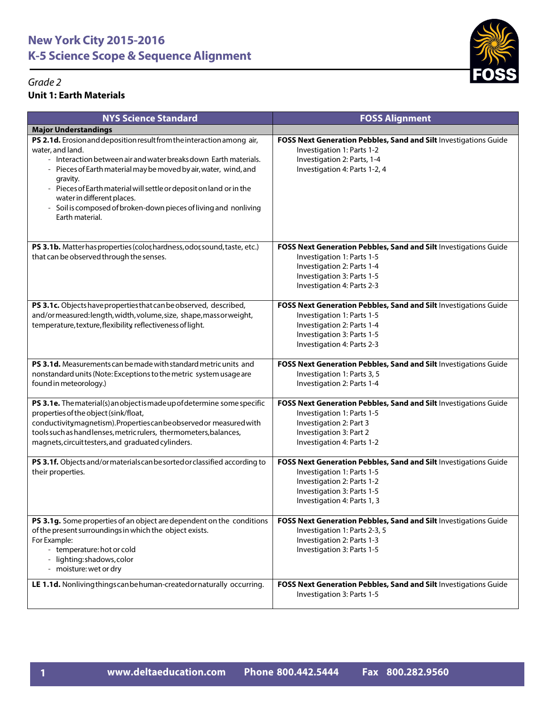#### *Grade 2* **Unit 1: Earth Materials**



| <b>NYS Science Standard</b>                                                                                                                                                                                                                                                                                                                                                                                                                | <b>FOSS Alignment</b>                                                                                                                                                                     |
|--------------------------------------------------------------------------------------------------------------------------------------------------------------------------------------------------------------------------------------------------------------------------------------------------------------------------------------------------------------------------------------------------------------------------------------------|-------------------------------------------------------------------------------------------------------------------------------------------------------------------------------------------|
| <b>Major Understandings</b>                                                                                                                                                                                                                                                                                                                                                                                                                |                                                                                                                                                                                           |
| PS 2.1d. Erosion and deposition result from the interaction among air,<br>water, and land.<br>- Interaction between air and water breaks down Earth materials.<br>- Pieces of Earth material may be moved by air, water, wind, and<br>gravity.<br>- Pieces of Earth material will settle or deposit on land or in the<br>water in different places.<br>- Soil is composed of broken-down pieces of living and nonliving<br>Earth material. | FOSS Next Generation Pebbles, Sand and Silt Investigations Guide<br>Investigation 1: Parts 1-2<br>Investigation 2: Parts, 1-4<br>Investigation 4: Parts 1-2, 4                            |
| PS 3.1b. Matter has properties (color, hardness, odor, sound, taste, etc.)<br>that can be observed through the senses.                                                                                                                                                                                                                                                                                                                     | FOSS Next Generation Pebbles, Sand and Silt Investigations Guide<br>Investigation 1: Parts 1-5<br>Investigation 2: Parts 1-4<br>Investigation 3: Parts 1-5<br>Investigation 4: Parts 2-3  |
| PS 3.1c. Objects have properties that can be observed, described,<br>and/ormeasured:length, width, volume, size, shape, massor weight,<br>temperature, texture, flexibility, reflectiveness of light.                                                                                                                                                                                                                                      | FOSS Next Generation Pebbles, Sand and Silt Investigations Guide<br>Investigation 1: Parts 1-5<br>Investigation 2: Parts 1-4<br>Investigation 3: Parts 1-5<br>Investigation 4: Parts 2-3  |
| PS 3.1d. Measurements can be made with standard metric units and<br>nonstandard units (Note: Exceptions to the metric system usage are<br>found in meteorology.)                                                                                                                                                                                                                                                                           | FOSS Next Generation Pebbles, Sand and Silt Investigations Guide<br>Investigation 1: Parts 3, 5<br>Investigation 2: Parts 1-4                                                             |
| PS 3.1e. The material(s) an object is made up of determine some specific<br>properties of the object (sink/float,<br>conductivity, magnetism). Properties can be observed or measured with<br>tools such as hand lenses, metric rulers, thermometers, balances,<br>magnets, circuit testers, and graduated cylinders.                                                                                                                      | FOSS Next Generation Pebbles, Sand and Silt Investigations Guide<br>Investigation 1: Parts 1-5<br>Investigation 2: Part 3<br>Investigation 3: Part 2<br>Investigation 4: Parts 1-2        |
| PS 3.1f. Objects and/or materials can be sorted or classified according to<br>their properties.                                                                                                                                                                                                                                                                                                                                            | FOSS Next Generation Pebbles, Sand and Silt Investigations Guide<br>Investigation 1: Parts 1-5<br>Investigation 2: Parts 1-2<br>Investigation 3: Parts 1-5<br>Investigation 4: Parts 1, 3 |
| PS 3.1g. Some properties of an object are dependent on the conditions<br>of the present surroundings in which the object exists.<br>For Example:<br>- temperature: hot or cold<br>- lighting: shadows, color<br>- moisture: wet or dry                                                                                                                                                                                                     | FOSS Next Generation Pebbles, Sand and Silt Investigations Guide<br>Investigation 1: Parts 2-3, 5<br>Investigation 2: Parts 1-3<br>Investigation 3: Parts 1-5                             |
| LE 1.1d. Nonliving things can be human-created or naturally occurring.                                                                                                                                                                                                                                                                                                                                                                     | FOSS Next Generation Pebbles, Sand and Silt Investigations Guide<br>Investigation 3: Parts 1-5                                                                                            |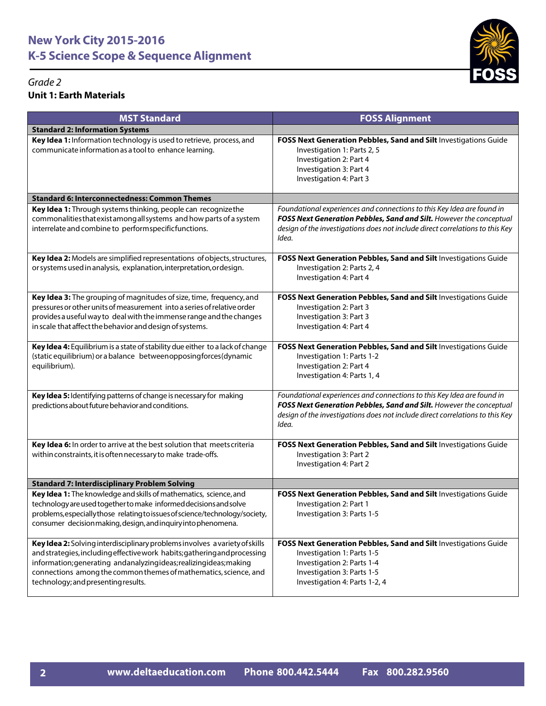



| <b>MST Standard</b>                                                                                                                                                                                                                                                                                                                      | <b>FOSS Alignment</b>                                                                                                                                                                                                                   |
|------------------------------------------------------------------------------------------------------------------------------------------------------------------------------------------------------------------------------------------------------------------------------------------------------------------------------------------|-----------------------------------------------------------------------------------------------------------------------------------------------------------------------------------------------------------------------------------------|
| <b>Standard 2: Information Systems</b>                                                                                                                                                                                                                                                                                                   |                                                                                                                                                                                                                                         |
| Key Idea 1: Information technology is used to retrieve, process, and<br>communicate information as a tool to enhance learning.                                                                                                                                                                                                           | FOSS Next Generation Pebbles, Sand and Silt Investigations Guide<br>Investigation 1: Parts 2, 5<br>Investigation 2: Part 4<br>Investigation 3: Part 4<br>Investigation 4: Part 3                                                        |
| <b>Standard 6: Interconnectedness: Common Themes</b>                                                                                                                                                                                                                                                                                     |                                                                                                                                                                                                                                         |
| Key Idea 1: Through systems thinking, people can recognize the<br>commonalities that exist among all systems and how parts of a system<br>interrelate and combine to performspecificfunctions.                                                                                                                                           | Foundational experiences and connections to this Key Idea are found in<br>FOSS Next Generation Pebbles, Sand and Silt. However the conceptual<br>design of the investigations does not include direct correlations to this Key<br>Idea. |
| Key Idea 2: Models are simplified representations of objects, structures,<br>or systems used in analysis, explanation, interpretation, ordesign.                                                                                                                                                                                         | FOSS Next Generation Pebbles, Sand and Silt Investigations Guide<br>Investigation 2: Parts 2, 4<br>Investigation 4: Part 4                                                                                                              |
| Key Idea 3: The grouping of magnitudes of size, time, frequency, and<br>pressures or other units of measurement into a series of relative order<br>provides a useful way to deal with the immense range and the changes<br>in scale that affect the behavior and design of systems.                                                      | FOSS Next Generation Pebbles, Sand and Silt Investigations Guide<br>Investigation 2: Part 3<br>Investigation 3: Part 3<br>Investigation 4: Part 4                                                                                       |
| Key Idea 4: Equilibrium is a state of stability due either to a lack of change<br>(static equilibrium) or a balance betweenopposingforces (dynamic<br>equilibrium).                                                                                                                                                                      | FOSS Next Generation Pebbles, Sand and Silt Investigations Guide<br>Investigation 1: Parts 1-2<br>Investigation 2: Part 4<br>Investigation 4: Parts 1, 4                                                                                |
| Key Idea 5: Identifying patterns of change is necessary for making<br>predictions about future behavior and conditions.                                                                                                                                                                                                                  | Foundational experiences and connections to this Key Idea are found in<br>FOSS Next Generation Pebbles, Sand and Silt. However the conceptual<br>design of the investigations does not include direct correlations to this Key<br>Idea. |
| Key Idea 6: In order to arrive at the best solution that meets criteria<br>within constraints, it is often necessary to make trade-offs.                                                                                                                                                                                                 | FOSS Next Generation Pebbles, Sand and Silt Investigations Guide<br>Investigation 3: Part 2<br>Investigation 4: Part 2                                                                                                                  |
| <b>Standard 7: Interdisciplinary Problem Solving</b>                                                                                                                                                                                                                                                                                     |                                                                                                                                                                                                                                         |
| Key Idea 1: The knowledge and skills of mathematics, science, and<br>technology are used together to make informed decisions and solve<br>problems, especially those relating to issues of science/technology/society,<br>consumer decision making, design, and inquiry into phenomena.                                                  | FOSS Next Generation Pebbles, Sand and Silt Investigations Guide<br>Investigation 2: Part 1<br>Investigation 3: Parts 1-5                                                                                                               |
| Key Idea 2: Solving interdisciplinary problems involves a variety of skills<br>and strategies, including effective work habits; gathering and processing<br>information; generating andanalyzingideas; realizingideas; making<br>connections among the common themes of mathematics, science, and<br>technology; and presenting results. | FOSS Next Generation Pebbles, Sand and Silt Investigations Guide<br>Investigation 1: Parts 1-5<br>Investigation 2: Parts 1-4<br>Investigation 3: Parts 1-5<br>Investigation 4: Parts 1-2, 4                                             |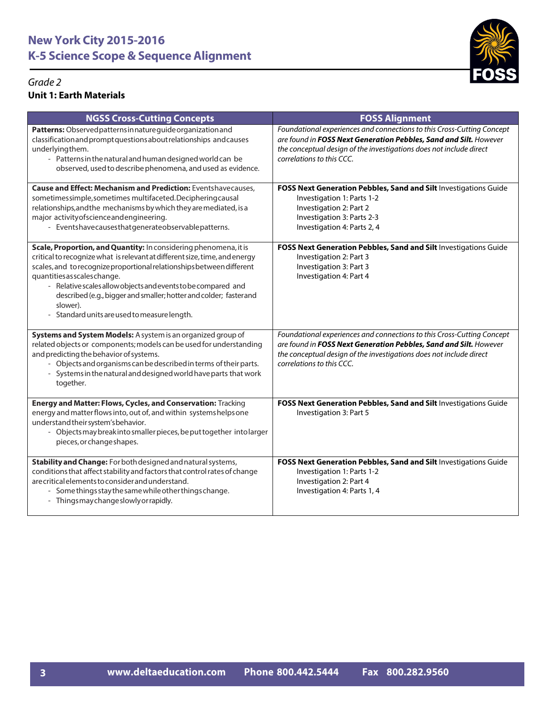

### *Grade 2* **Unit 1: Earth Materials**

| <b>NGSS Cross-Cutting Concepts</b>                                                                                                                                                                                                                                                                                                                                                                                                                         | <b>FOSS Alignment</b>                                                                                                                                                                                                                           |
|------------------------------------------------------------------------------------------------------------------------------------------------------------------------------------------------------------------------------------------------------------------------------------------------------------------------------------------------------------------------------------------------------------------------------------------------------------|-------------------------------------------------------------------------------------------------------------------------------------------------------------------------------------------------------------------------------------------------|
| Patterns: Observed patterns in nature guide organization and<br>classification and prompt questions about relationships and causes<br>underlyingthem.<br>- Patterns in the natural and human designed world can be<br>observed, used to describe phenomena, and used as evidence.                                                                                                                                                                          | Foundational experiences and connections to this Cross-Cutting Concept<br>are found in FOSS Next Generation Pebbles, Sand and Silt. However<br>the conceptual design of the investigations does not include direct<br>correlations to this CCC. |
| <b>Cause and Effect: Mechanism and Prediction: Eventshavecauses,</b><br>sometimessimple, sometimes multifaceted. Deciphering causal<br>relationships, and the mechanisms by which they are mediated, is a<br>major activity of science and engineering.<br>- Eventshavecausesthatgenerateobservablepatterns.                                                                                                                                               | FOSS Next Generation Pebbles, Sand and Silt Investigations Guide<br>Investigation 1: Parts 1-2<br>Investigation 2: Part 2<br>Investigation 3: Parts 2-3<br>Investigation 4: Parts 2, 4                                                          |
| Scale, Proportion, and Quantity: In considering phenomena, it is<br>critical to recognize what is relevant at different size, time, and energy<br>scales, and to recognize proportional relationships between different<br>quantities as scales change.<br>- Relative scales allow objects and events to be compared and<br>described (e.g., bigger and smaller; hotter and colder; faster and<br>slower).<br>- Standard units are used to measure length. | FOSS Next Generation Pebbles, Sand and Silt Investigations Guide<br>Investigation 2: Part 3<br>Investigation 3: Part 3<br>Investigation 4: Part 4                                                                                               |
| Systems and System Models: A system is an organized group of<br>related objects or components; models can be used for understanding<br>and predicting the behavior of systems.<br>- Objects and organisms can be described in terms of their parts.<br>- Systems in the natural and designed world have parts that work<br>together.                                                                                                                       | Foundational experiences and connections to this Cross-Cutting Concept<br>are found in FOSS Next Generation Pebbles, Sand and Silt. However<br>the conceptual design of the investigations does not include direct<br>correlations to this CCC. |
| Energy and Matter: Flows, Cycles, and Conservation: Tracking<br>energy and matter flows into, out of, and within systems helps one<br>understand their system's behavior.<br>- Objects may break into smaller pieces, be put together into larger<br>pieces, or change shapes.                                                                                                                                                                             | FOSS Next Generation Pebbles, Sand and Silt Investigations Guide<br>Investigation 3: Part 5                                                                                                                                                     |
| Stability and Change: For both designed and natural systems,<br>conditions that affect stability and factors that control rates of change<br>are critical elements to consider and understand.<br>- Some things stay the same while other things change.<br>- Things may change slowly or rapidly.                                                                                                                                                         | FOSS Next Generation Pebbles, Sand and Silt Investigations Guide<br>Investigation 1: Parts 1-2<br>Investigation 2: Part 4<br>Investigation 4: Parts 1, 4                                                                                        |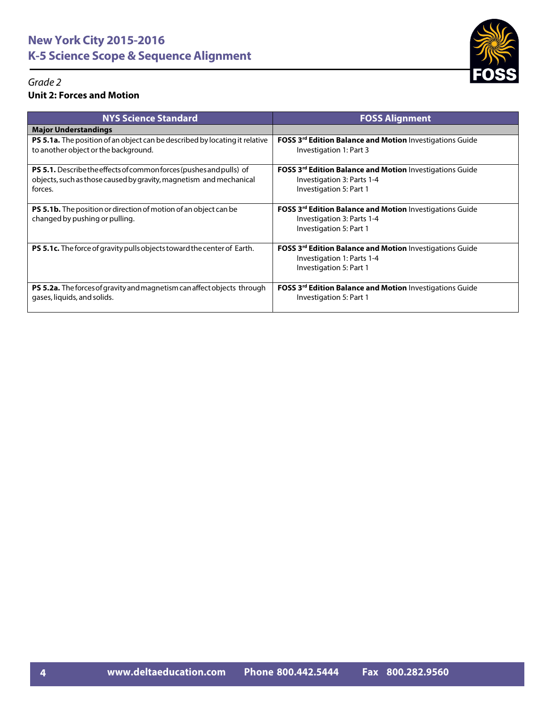

#### *Grade 2* **Unit 2: Forces and Motion**

| <b>NYS Science Standard</b>                                                                                                                                 | <b>FOSS Alignment</b>                                                                                                    |
|-------------------------------------------------------------------------------------------------------------------------------------------------------------|--------------------------------------------------------------------------------------------------------------------------|
| <b>Major Understandings</b>                                                                                                                                 |                                                                                                                          |
| <b>PS 5.1a.</b> The position of an object can be described by locating it relative<br>to another object or the background.                                  | <b>FOSS 3rd Edition Balance and Motion Investigations Guide</b><br>Investigation 1: Part 3                               |
| <b>PS 5.1.</b> Describe the effects of common forces (pushes and pulls) of<br>objects, such as those caused by gravity, magnetism and mechanical<br>forces. | FOSS 3rd Edition Balance and Motion Investigations Guide<br>Investigation 3: Parts 1-4<br>Investigation 5: Part 1        |
| <b>PS 5.1b.</b> The position or direction of motion of an object can be<br>changed by pushing or pulling.                                                   | FOSS 3rd Edition Balance and Motion Investigations Guide<br>Investigation 3: Parts 1-4<br>Investigation 5: Part 1        |
| <b>PS 5.1c.</b> The force of gravity pulls objects toward the center of Earth.                                                                              | <b>FOSS 3rd Edition Balance and Motion Investigations Guide</b><br>Investigation 1: Parts 1-4<br>Investigation 5: Part 1 |
| <b>PS 5.2a.</b> The forces of gravity and magnetism can affect objects through<br>gases, liquids, and solids.                                               | <b>FOSS 3rd Edition Balance and Motion Investigations Guide</b><br>Investigation 5: Part 1                               |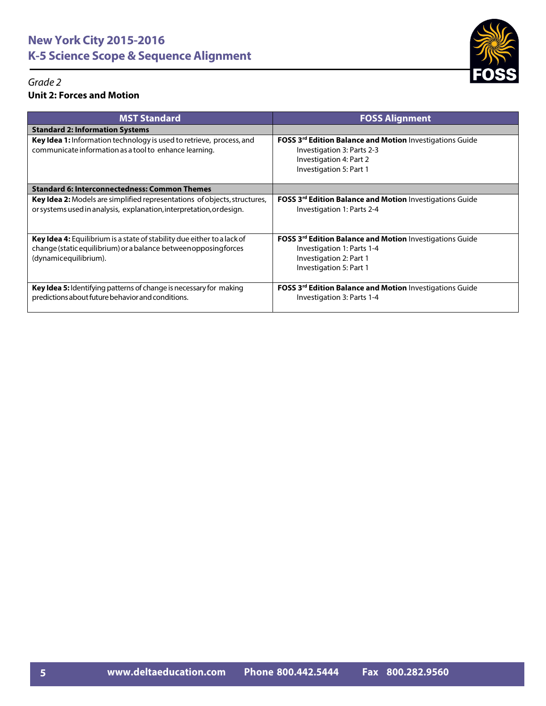

#### *Grade 2* **Unit 2: Forces and Motion**

| <b>MST Standard</b>                                                                                                                                                  | <b>FOSS Alignment</b>                                                                                                                               |
|----------------------------------------------------------------------------------------------------------------------------------------------------------------------|-----------------------------------------------------------------------------------------------------------------------------------------------------|
| <b>Standard 2: Information Systems</b>                                                                                                                               |                                                                                                                                                     |
| Key Idea 1: Information technology is used to retrieve, process, and<br>communicate information as a tool to enhance learning.                                       | <b>FOSS 3rd Edition Balance and Motion Investigations Guide</b><br>Investigation 3: Parts 2-3<br>Investigation 4: Part 2<br>Investigation 5: Part 1 |
| <b>Standard 6: Interconnectedness: Common Themes</b>                                                                                                                 |                                                                                                                                                     |
| <b>Key Idea 2:</b> Models are simplified representations of objects, structures,<br>or systems used in analysis, explanation, interpretation, or design.             | <b>FOSS 3rd Edition Balance and Motion Investigations Guide</b><br>Investigation 1: Parts 2-4                                                       |
| Key Idea 4: Equilibrium is a state of stability due either to a lack of<br>change (static equilibrium) or a balance between opposing forces<br>(dynamicequilibrium). | FOSS 3rd Edition Balance and Motion Investigations Guide<br>Investigation 1: Parts 1-4<br>Investigation 2: Part 1<br>Investigation 5: Part 1        |
| Key Idea 5: Identifying patterns of change is necessary for making<br>predictions about future behavior and conditions.                                              | <b>FOSS 3rd Edition Balance and Motion Investigations Guide</b><br>Investigation 3: Parts 1-4                                                       |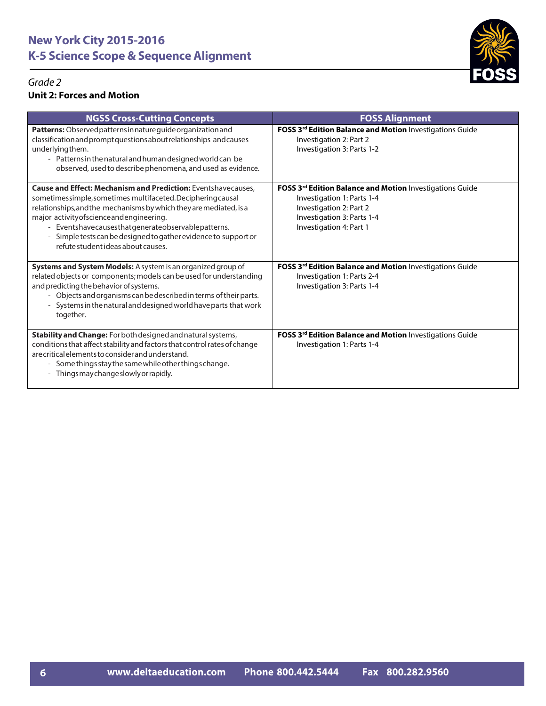

#### *Grade 2* **Unit 2: Forces and Motion**

| <b>NGSS Cross-Cutting Concepts</b>                                                                                                                                                                                                                                                                                                                                                                                    | <b>FOSS Alignment</b>                                                                                                                                                      |
|-----------------------------------------------------------------------------------------------------------------------------------------------------------------------------------------------------------------------------------------------------------------------------------------------------------------------------------------------------------------------------------------------------------------------|----------------------------------------------------------------------------------------------------------------------------------------------------------------------------|
| Patterns: Observed patterns in nature guide organization and<br>classification and prompt questions about relationships and causes<br>underlyingthem.<br>- Patterns in the natural and human designed world can be<br>observed, used to describe phenomena, and used as evidence.                                                                                                                                     | FOSS 3rd Edition Balance and Motion Investigations Guide<br>Investigation 2: Part 2<br>Investigation 3: Parts 1-2                                                          |
| <b>Cause and Effect: Mechanism and Prediction:</b> Eventshavecauses.<br>sometimessimple, sometimes multifaceted. Deciphering causal<br>relationships, and the mechanisms by which they are mediated, is a<br>major activity of science and engineering.<br>- Eventshavecausesthatgenerateobservablepatterns.<br>- Simple tests can be designed to gather evidence to support or<br>refute student ideas about causes. | FOSS 3rd Edition Balance and Motion Investigations Guide<br>Investigation 1: Parts 1-4<br>Investigation 2: Part 2<br>Investigation 3: Parts 1-4<br>Investigation 4: Part 1 |
| Systems and System Models: A system is an organized group of<br>related objects or components; models can be used for understanding<br>and predicting the behavior of systems.<br>- Objects and organisms can be described in terms of their parts.<br>- Systems in the natural and designed world have parts that work<br>together.                                                                                  | FOSS 3rd Edition Balance and Motion Investigations Guide<br>Investigation 1: Parts 2-4<br>Investigation 3: Parts 1-4                                                       |
| Stability and Change: For both designed and natural systems,<br>conditions that affect stability and factors that control rates of change<br>are critical elements to consider and understand.<br>Some things stay the same while other things change.<br>- Thingsmaychangeslowlyorrapidly.                                                                                                                           | FOSS 3rd Edition Balance and Motion Investigations Guide<br>Investigation 1: Parts 1-4                                                                                     |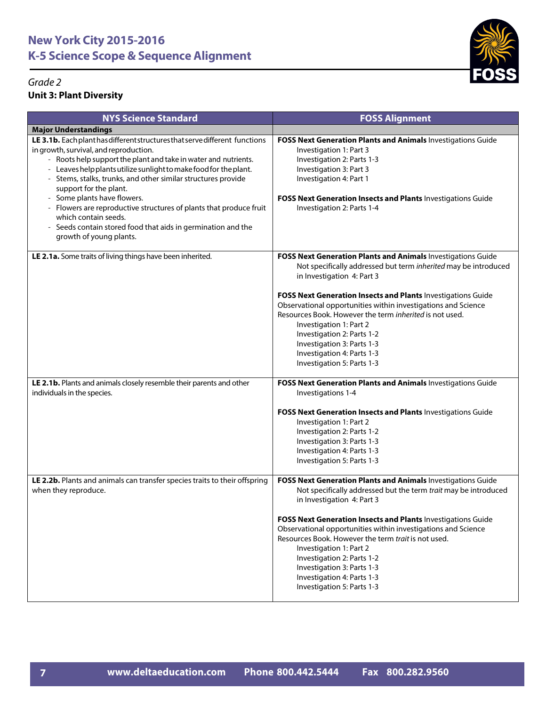

| <b>NYS Science Standard</b>                                                                                                                                                                                                                                                                                                                                                                                                                                                                                                                                                                                | <b>FOSS Alignment</b>                                                                                                                                                                                                                                                                                                                                                                                                                                                                                               |
|------------------------------------------------------------------------------------------------------------------------------------------------------------------------------------------------------------------------------------------------------------------------------------------------------------------------------------------------------------------------------------------------------------------------------------------------------------------------------------------------------------------------------------------------------------------------------------------------------------|---------------------------------------------------------------------------------------------------------------------------------------------------------------------------------------------------------------------------------------------------------------------------------------------------------------------------------------------------------------------------------------------------------------------------------------------------------------------------------------------------------------------|
| <b>Major Understandings</b>                                                                                                                                                                                                                                                                                                                                                                                                                                                                                                                                                                                |                                                                                                                                                                                                                                                                                                                                                                                                                                                                                                                     |
| LE 3.1b. Each plant has different structures that serve different functions<br>in growth, survival, and reproduction.<br>- Roots help support the plant and take in water and nutrients.<br>- Leaves help plants utilize sunlight to make food for the plant.<br>Stems, stalks, trunks, and other similar structures provide<br>$\overline{\phantom{a}}$<br>support for the plant.<br>- Some plants have flowers.<br>- Flowers are reproductive structures of plants that produce fruit<br>which contain seeds.<br>- Seeds contain stored food that aids in germination and the<br>growth of young plants. | FOSS Next Generation Plants and Animals Investigations Guide<br>Investigation 1: Part 3<br>Investigation 2: Parts 1-3<br>Investigation 3: Part 3<br>Investigation 4: Part 1<br>FOSS Next Generation Insects and Plants Investigations Guide<br>Investigation 2: Parts 1-4                                                                                                                                                                                                                                           |
| LE 2.1a. Some traits of living things have been inherited.                                                                                                                                                                                                                                                                                                                                                                                                                                                                                                                                                 | FOSS Next Generation Plants and Animals Investigations Guide<br>Not specifically addressed but term inherited may be introduced<br>in Investigation 4: Part 3<br><b>FOSS Next Generation Insects and Plants Investigations Guide</b><br>Observational opportunities within investigations and Science<br>Resources Book. However the term inherited is not used.<br>Investigation 1: Part 2<br>Investigation 2: Parts 1-2<br>Investigation 3: Parts 1-3<br>Investigation 4: Parts 1-3<br>Investigation 5: Parts 1-3 |
| LE 2.1b. Plants and animals closely resemble their parents and other<br>individuals in the species.                                                                                                                                                                                                                                                                                                                                                                                                                                                                                                        | FOSS Next Generation Plants and Animals Investigations Guide<br>Investigations 1-4<br>FOSS Next Generation Insects and Plants Investigations Guide<br>Investigation 1: Part 2<br>Investigation 2: Parts 1-2<br>Investigation 3: Parts 1-3<br>Investigation 4: Parts 1-3<br>Investigation 5: Parts 1-3                                                                                                                                                                                                               |
| LE 2.2b. Plants and animals can transfer species traits to their offspring<br>when they reproduce.                                                                                                                                                                                                                                                                                                                                                                                                                                                                                                         | FOSS Next Generation Plants and Animals Investigations Guide<br>Not specifically addressed but the term trait may be introduced<br>in Investigation 4: Part 3<br>FOSS Next Generation Insects and Plants Investigations Guide<br>Observational opportunities within investigations and Science<br>Resources Book. However the term trait is not used.<br>Investigation 1: Part 2<br>Investigation 2: Parts 1-2<br>Investigation 3: Parts 1-3<br>Investigation 4: Parts 1-3<br>Investigation 5: Parts 1-3            |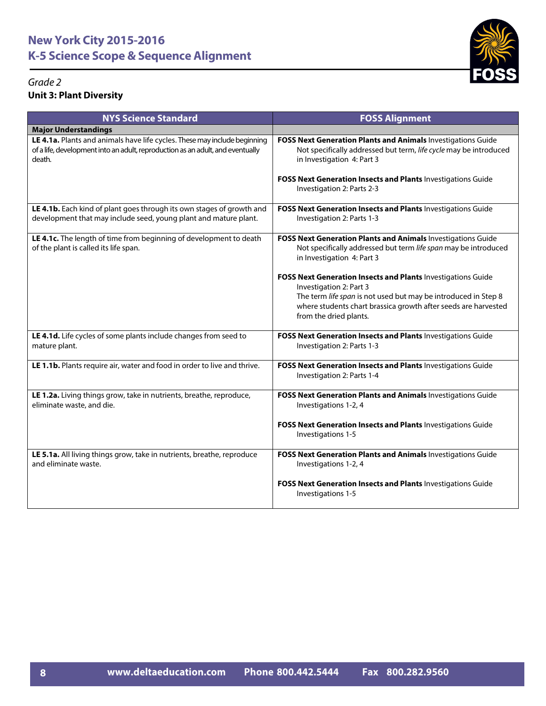

| <b>NYS Science Standard</b>                                                                                                                                           | <b>FOSS Alignment</b>                                                                                                                                                                                                                                 |
|-----------------------------------------------------------------------------------------------------------------------------------------------------------------------|-------------------------------------------------------------------------------------------------------------------------------------------------------------------------------------------------------------------------------------------------------|
| <b>Major Understandings</b>                                                                                                                                           |                                                                                                                                                                                                                                                       |
| LE 4.1a. Plants and animals have life cycles. These may include beginning<br>of a life, development into an adult, reproduction as an adult, and eventually<br>death. | FOSS Next Generation Plants and Animals Investigations Guide<br>Not specifically addressed but term, life cycle may be introduced<br>in Investigation 4: Part 3                                                                                       |
|                                                                                                                                                                       | FOSS Next Generation Insects and Plants Investigations Guide<br>Investigation 2: Parts 2-3                                                                                                                                                            |
| LE 4.1b. Each kind of plant goes through its own stages of growth and<br>development that may include seed, young plant and mature plant.                             | FOSS Next Generation Insects and Plants Investigations Guide<br>Investigation 2: Parts 1-3                                                                                                                                                            |
| LE 4.1c. The length of time from beginning of development to death<br>of the plant is called its life span.                                                           | FOSS Next Generation Plants and Animals Investigations Guide<br>Not specifically addressed but term life span may be introduced<br>in Investigation 4: Part 3                                                                                         |
|                                                                                                                                                                       | FOSS Next Generation Insects and Plants Investigations Guide<br>Investigation 2: Part 3<br>The term life span is not used but may be introduced in Step 8<br>where students chart brassica growth after seeds are harvested<br>from the dried plants. |
| LE 4.1d. Life cycles of some plants include changes from seed to<br>mature plant.                                                                                     | FOSS Next Generation Insects and Plants Investigations Guide<br>Investigation 2: Parts 1-3                                                                                                                                                            |
| LE 1.1b. Plants require air, water and food in order to live and thrive.                                                                                              | FOSS Next Generation Insects and Plants Investigations Guide<br>Investigation 2: Parts 1-4                                                                                                                                                            |
| LE 1.2a. Living things grow, take in nutrients, breathe, reproduce,<br>eliminate waste, and die.                                                                      | FOSS Next Generation Plants and Animals Investigations Guide<br>Investigations 1-2, 4                                                                                                                                                                 |
|                                                                                                                                                                       | FOSS Next Generation Insects and Plants Investigations Guide<br>Investigations 1-5                                                                                                                                                                    |
| LE 5.1a. All living things grow, take in nutrients, breathe, reproduce<br>and eliminate waste.                                                                        | FOSS Next Generation Plants and Animals Investigations Guide<br>Investigations 1-2, 4                                                                                                                                                                 |
|                                                                                                                                                                       | FOSS Next Generation Insects and Plants Investigations Guide<br>Investigations 1-5                                                                                                                                                                    |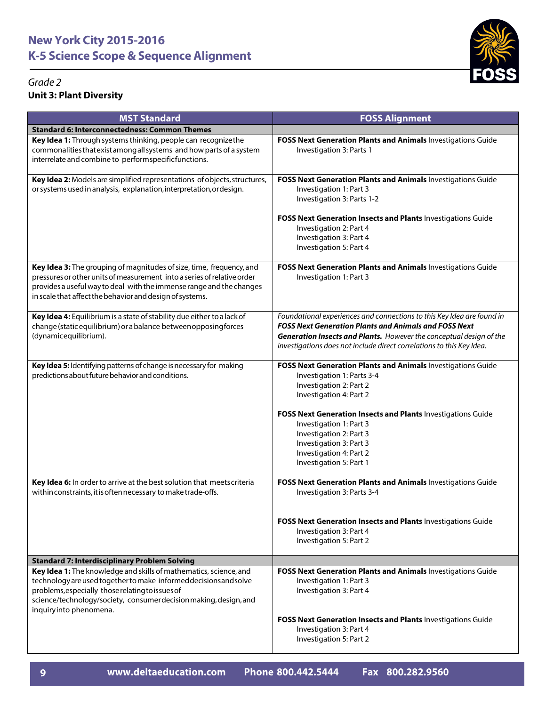



| <b>MST Standard</b>                                                                                                                                                                                                                                                                       | <b>FOSS Alignment</b>                                                                                                                                                                                                                                                                                                                                   |
|-------------------------------------------------------------------------------------------------------------------------------------------------------------------------------------------------------------------------------------------------------------------------------------------|---------------------------------------------------------------------------------------------------------------------------------------------------------------------------------------------------------------------------------------------------------------------------------------------------------------------------------------------------------|
| <b>Standard 6: Interconnectedness: Common Themes</b>                                                                                                                                                                                                                                      |                                                                                                                                                                                                                                                                                                                                                         |
| Key Idea 1: Through systems thinking, people can recognize the<br>commonalities that exist among all systems and how parts of a system<br>interrelate and combine to performspecificfunctions.                                                                                            | FOSS Next Generation Plants and Animals Investigations Guide<br>Investigation 3: Parts 1                                                                                                                                                                                                                                                                |
| Key Idea 2: Models are simplified representations of objects, structures,<br>or systems used in analysis, explanation, interpretation, ordesign.                                                                                                                                          | FOSS Next Generation Plants and Animals Investigations Guide<br>Investigation 1: Part 3<br>Investigation 3: Parts 1-2<br>FOSS Next Generation Insects and Plants Investigations Guide<br>Investigation 2: Part 4<br>Investigation 3: Part 4<br>Investigation 5: Part 4                                                                                  |
| Key Idea 3: The grouping of magnitudes of size, time, frequency, and<br>pressures or other units of measurement into a series of relative order<br>provides a useful way to deal with the immense range and the changes<br>in scale that affect the behavior and design of systems.       | FOSS Next Generation Plants and Animals Investigations Guide<br>Investigation 1: Part 3                                                                                                                                                                                                                                                                 |
| Key Idea 4: Equilibrium is a state of stability due either to a lack of<br>change (static equilibrium) or a balance between opposing forces<br>(dynamicequilibrium).                                                                                                                      | Foundational experiences and connections to this Key Idea are found in<br><b>FOSS Next Generation Plants and Animals and FOSS Next</b><br>Generation Insects and Plants. However the conceptual design of the<br>investigations does not include direct correlations to this Key Idea.                                                                  |
| Key Idea 5: Identifying patterns of change is necessary for making<br>predictions about future behavior and conditions.                                                                                                                                                                   | FOSS Next Generation Plants and Animals Investigations Guide<br>Investigation 1: Parts 3-4<br>Investigation 2: Part 2<br>Investigation 4: Part 2<br>FOSS Next Generation Insects and Plants Investigations Guide<br>Investigation 1: Part 3<br>Investigation 2: Part 3<br>Investigation 3: Part 3<br>Investigation 4: Part 2<br>Investigation 5: Part 1 |
| Key Idea 6: In order to arrive at the best solution that meets criteria<br>within constraints, it is often necessary to make trade-offs.                                                                                                                                                  | FOSS Next Generation Plants and Animals Investigations Guide<br>Investigation 3: Parts 3-4<br>FOSS Next Generation Insects and Plants Investigations Guide<br>Investigation 3: Part 4<br>Investigation 5: Part 2                                                                                                                                        |
| <b>Standard 7: Interdisciplinary Problem Solving</b>                                                                                                                                                                                                                                      |                                                                                                                                                                                                                                                                                                                                                         |
| Key Idea 1: The knowledge and skills of mathematics, science, and<br>technology are used together to make informed decisions and solve<br>problems, especially those relating to issues of<br>science/technology/society, consumer decision making, design, and<br>inquiryinto phenomena. | FOSS Next Generation Plants and Animals Investigations Guide<br>Investigation 1: Part 3<br>Investigation 3: Part 4                                                                                                                                                                                                                                      |
|                                                                                                                                                                                                                                                                                           | FOSS Next Generation Insects and Plants Investigations Guide<br>Investigation 3: Part 4<br>Investigation 5: Part 2                                                                                                                                                                                                                                      |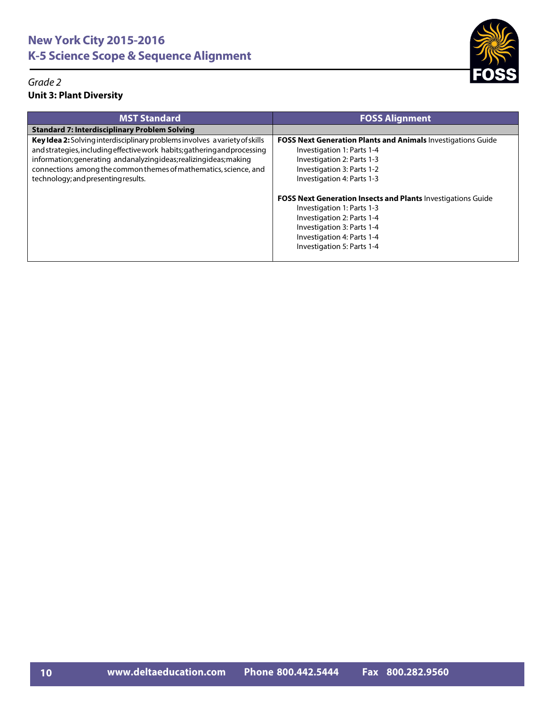

| <b>MST Standard</b>                                                                                                                                                                                                                                                                                                                      | <b>FOSS Alignment</b>                                                                                                                                                                                                                                                                                                                                                                                                    |
|------------------------------------------------------------------------------------------------------------------------------------------------------------------------------------------------------------------------------------------------------------------------------------------------------------------------------------------|--------------------------------------------------------------------------------------------------------------------------------------------------------------------------------------------------------------------------------------------------------------------------------------------------------------------------------------------------------------------------------------------------------------------------|
| <b>Standard 7: Interdisciplinary Problem Solving</b>                                                                                                                                                                                                                                                                                     |                                                                                                                                                                                                                                                                                                                                                                                                                          |
| Key Idea 2: Solving interdisciplinary problems involves a variety of skills<br>and strategies, including effective work habits; gathering and processing<br>information; generating andanalyzingideas; realizingideas; making<br>connections among the common themes of mathematics, science, and<br>technology; and presenting results. | <b>FOSS Next Generation Plants and Animals Investigations Guide</b><br>Investigation 1: Parts 1-4<br>Investigation 2: Parts 1-3<br>Investigation 3: Parts 1-2<br>Investigation 4: Parts 1-3<br><b>FOSS Next Generation Insects and Plants Investigations Guide</b><br>Investigation 1: Parts 1-3<br>Investigation 2: Parts 1-4<br>Investigation 3: Parts 1-4<br>Investigation 4: Parts 1-4<br>Investigation 5: Parts 1-4 |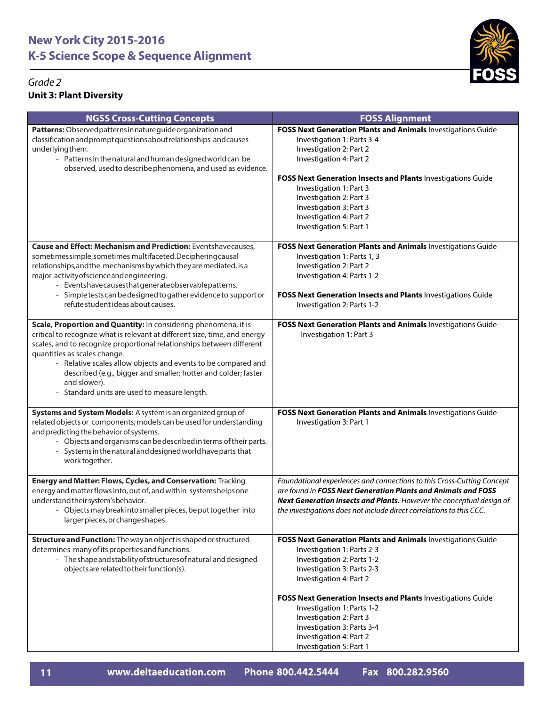



| <b>NGSS Cross-Cutting Concepts</b>                                                                                                                                                                                                                                                                                                                                                                                                                        | <b>FOSS Alignment</b>                                                                                                                                                                                                                                                                                                                                          |
|-----------------------------------------------------------------------------------------------------------------------------------------------------------------------------------------------------------------------------------------------------------------------------------------------------------------------------------------------------------------------------------------------------------------------------------------------------------|----------------------------------------------------------------------------------------------------------------------------------------------------------------------------------------------------------------------------------------------------------------------------------------------------------------------------------------------------------------|
| Patterns: Observed patterns in nature guide organization and<br>classification and prompt questions about relationships and causes<br>underlyingthem.<br>- Patterns in the natural and human designed world can be<br>observed, used to describe phenomena, and used as evidence.                                                                                                                                                                         | <b>FOSS Next Generation Plants and Animals Investigations Guide</b><br>Investigation 1: Parts 3-4<br>Investigation 2: Part 2<br>Investigation 4: Part 2<br>FOSS Next Generation Insects and Plants Investigations Guide<br>Investigation 1: Part 3<br>Investigation 2: Part 3<br>Investigation 3: Part 3<br>Investigation 4: Part 2<br>Investigation 5: Part 1 |
| <b>Cause and Effect: Mechanism and Prediction: Eventshavecauses,</b><br>sometimessimple, sometimes multifaceted. Deciphering causal<br>relationships, and the mechanisms by which they are mediated, is a<br>major activity of science and engineering.<br>- Eventshavecausesthatgenerateobservablepatterns.<br>- Simple tests can be designed to gather evidence to support or<br>refute student ideas about causes.                                     | FOSS Next Generation Plants and Animals Investigations Guide<br>Investigation 1: Parts 1, 3<br>Investigation 2: Part 2<br>Investigation 4: Parts 1-2<br>FOSS Next Generation Insects and Plants Investigations Guide<br>Investigation 2: Parts 1-2                                                                                                             |
| Scale, Proportion and Quantity: In considering phenomena, it is<br>critical to recognize what is relevant at different size, time, and energy<br>scales, and to recognize proportional relationships between different<br>quantities as scales change.<br>- Relative scales allow objects and events to be compared and<br>described (e.g., bigger and smaller; hotter and colder; faster<br>and slower).<br>- Standard units are used to measure length. | FOSS Next Generation Plants and Animals Investigations Guide<br>Investigation 1: Part 3                                                                                                                                                                                                                                                                        |
| Systems and System Models: A system is an organized group of<br>related objects or components; models can be used for understanding<br>and predicting the behavior of systems.<br>- Objects and organisms can be described in terms of their parts.<br>- Systems in the natural and designed world have parts that<br>work together.                                                                                                                      | FOSS Next Generation Plants and Animals Investigations Guide<br>Investigation 3: Part 1                                                                                                                                                                                                                                                                        |
| Energy and Matter: Flows, Cycles, and Conservation: Tracking<br>energy and matter flows into, out of, and within systems helps one<br>understand their system's behavior.<br>Objects may break into smaller pieces, be put together into<br>larger pieces, or change shapes.                                                                                                                                                                              | Foundational experiences and connections to this Cross-Cutting Concept<br>are found in FOSS Next Generation Plants and Animals and FOSS<br>Next Generation Insects and Plants. However the conceptual design of<br>the investigations does not include direct correlations to this CCC.                                                                        |
| Structure and Function: The way an object is shaped or structured<br>determines many of its properties and functions.<br>- The shape and stability of structures of natural and designed<br>objects are related to their function(s).                                                                                                                                                                                                                     | FOSS Next Generation Plants and Animals Investigations Guide<br>Investigation 1: Parts 2-3<br>Investigation 2: Parts 1-2<br>Investigation 3: Parts 2-3<br>Investigation 4: Part 2                                                                                                                                                                              |
|                                                                                                                                                                                                                                                                                                                                                                                                                                                           | FOSS Next Generation Insects and Plants Investigations Guide<br>Investigation 1: Parts 1-2<br>Investigation 2: Part 3<br>Investigation 3: Parts 3-4<br>Investigation 4: Part 2<br>Investigation 5: Part 1                                                                                                                                                      |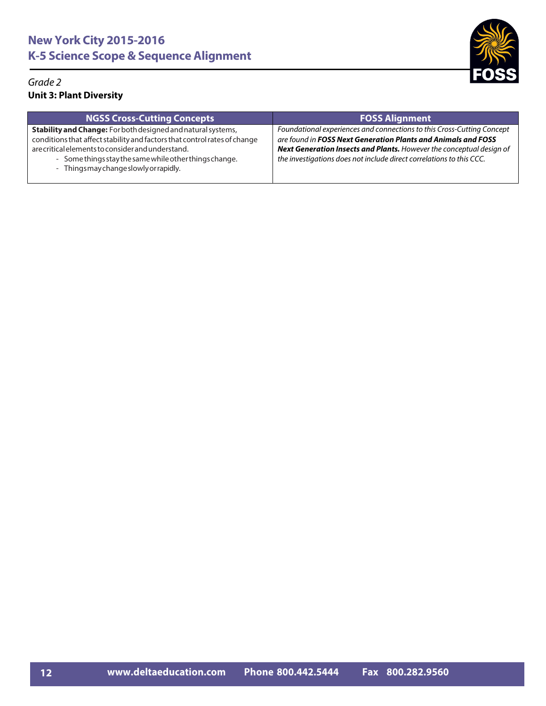

| <b>NGSS Cross-Cutting Concepts</b>                                                                                                                                                                                                                                                                        | <b>FOSS Alignment</b>                                                                                                                                                                                                                                                                          |
|-----------------------------------------------------------------------------------------------------------------------------------------------------------------------------------------------------------------------------------------------------------------------------------------------------------|------------------------------------------------------------------------------------------------------------------------------------------------------------------------------------------------------------------------------------------------------------------------------------------------|
| <b>Stability and Change:</b> For both designed and natural systems,<br>conditions that affect stability and factors that control rates of change<br>are critical elements to consider and understand.<br>- Some things stay the same while other things change.<br>- Things may change slowly or rapidly. | Foundational experiences and connections to this Cross-Cutting Concept<br>are found in FOSS Next Generation Plants and Animals and FOSS<br><b>Next Generation Insects and Plants.</b> However the conceptual design of<br>the investigations does not include direct correlations to this CCC. |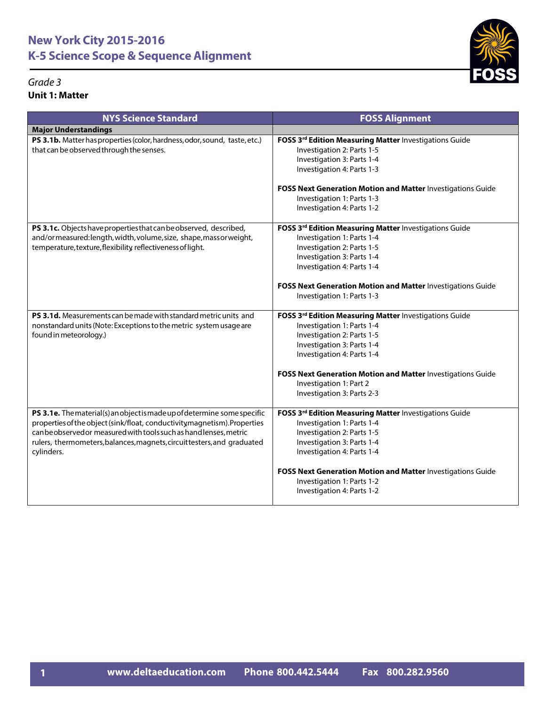### *Grade 3* **Unit 1: Matter**



| <b>NYS Science Standard</b>                                                                                                                                                                                                                                                                                         | <b>FOSS Alignment</b>                                                                                                                                                                                                                                                                                     |
|---------------------------------------------------------------------------------------------------------------------------------------------------------------------------------------------------------------------------------------------------------------------------------------------------------------------|-----------------------------------------------------------------------------------------------------------------------------------------------------------------------------------------------------------------------------------------------------------------------------------------------------------|
| <b>Major Understandings</b>                                                                                                                                                                                                                                                                                         |                                                                                                                                                                                                                                                                                                           |
| PS 3.1b. Matter has properties (color, hardness, odor, sound, taste, etc.)<br>that can be observed through the senses.                                                                                                                                                                                              | FOSS 3rd Edition Measuring Matter Investigations Guide<br>Investigation 2: Parts 1-5<br>Investigation 3: Parts 1-4<br>Investigation 4: Parts 1-3                                                                                                                                                          |
|                                                                                                                                                                                                                                                                                                                     | <b>FOSS Next Generation Motion and Matter Investigations Guide</b><br>Investigation 1: Parts 1-3<br>Investigation 4: Parts 1-2                                                                                                                                                                            |
| PS 3.1c. Objects have properties that can be observed, described,<br>and/ormeasured:length, width, volume, size, shape, massor weight,<br>temperature, texture, flexibility, reflectiveness of light.                                                                                                               | FOSS 3rd Edition Measuring Matter Investigations Guide<br>Investigation 1: Parts 1-4<br>Investigation 2: Parts 1-5<br>Investigation 3: Parts 1-4<br>Investigation 4: Parts 1-4                                                                                                                            |
|                                                                                                                                                                                                                                                                                                                     | FOSS Next Generation Motion and Matter Investigations Guide<br>Investigation 1: Parts 1-3                                                                                                                                                                                                                 |
| <b>PS 3.1d.</b> Measurements can be made with standard metric units and<br>nonstandard units (Note: Exceptions to the metric system usage are<br>found in meteorology.)                                                                                                                                             | FOSS 3rd Edition Measuring Matter Investigations Guide<br>Investigation 1: Parts 1-4<br>Investigation 2: Parts 1-5<br>Investigation 3: Parts 1-4<br>Investigation 4: Parts 1-4<br>FOSS Next Generation Motion and Matter Investigations Guide<br>Investigation 1: Part 2<br>Investigation 3: Parts 2-3    |
| PS 3.1e. The material(s) an object is made up of determine some specific<br>properties of the object (sink/float, conductivity magnetism). Properties<br>canbe observed or measured with tools such as hand lenses, metric<br>rulers, thermometers, balances, magnets, circuit testers, and graduated<br>cylinders. | FOSS 3rd Edition Measuring Matter Investigations Guide<br>Investigation 1: Parts 1-4<br>Investigation 2: Parts 1-5<br>Investigation 3: Parts 1-4<br>Investigation 4: Parts 1-4<br>FOSS Next Generation Motion and Matter Investigations Guide<br>Investigation 1: Parts 1-2<br>Investigation 4: Parts 1-2 |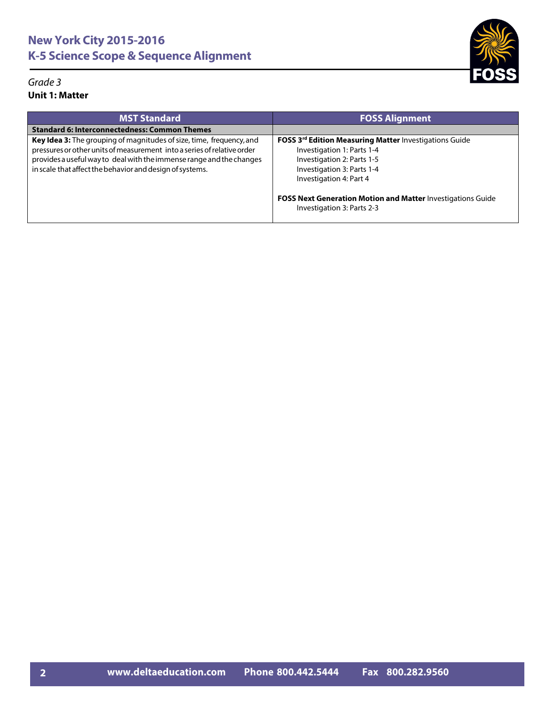#### *Grade 3* **Unit 1: Matter**



| <b>MST Standard</b>                                                                                                                                                                                                                                                                 | <b>FOSS Alignment</b>                                                                                                                                                                   |
|-------------------------------------------------------------------------------------------------------------------------------------------------------------------------------------------------------------------------------------------------------------------------------------|-----------------------------------------------------------------------------------------------------------------------------------------------------------------------------------------|
| <b>Standard 6: Interconnectedness: Common Themes</b>                                                                                                                                                                                                                                |                                                                                                                                                                                         |
| Key Idea 3: The grouping of magnitudes of size, time, frequency, and<br>pressures or other units of measurement into a series of relative order<br>provides a useful way to deal with the immense range and the changes<br>in scale that affect the behavior and design of systems. | FOSS 3 <sup>rd</sup> Edition Measuring Matter Investigations Guide<br>Investigation 1: Parts 1-4<br>Investigation 2: Parts 1-5<br>Investigation 3: Parts 1-4<br>Investigation 4: Part 4 |
|                                                                                                                                                                                                                                                                                     | FOSS Next Generation Motion and Matter Investigations Guide<br>Investigation 3: Parts 2-3                                                                                               |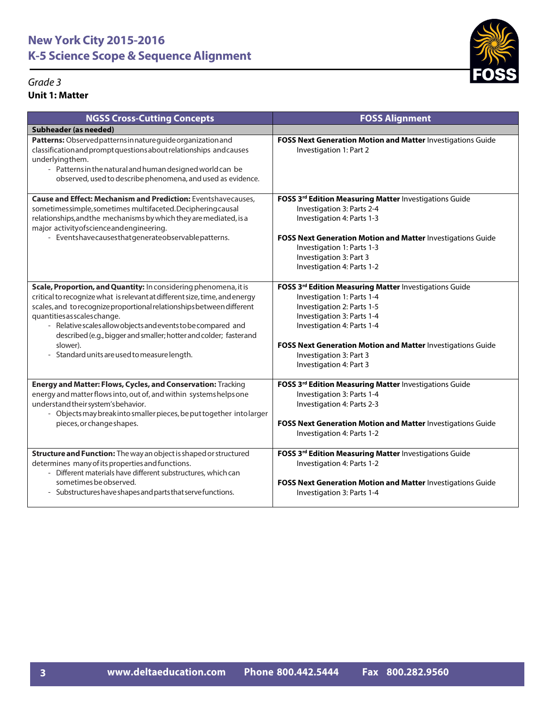### *Grade 3* **Unit 1: Matter**



| <b>NGSS Cross-Cutting Concepts</b>                                                                                                                                                                                                                                                                                                                                                                                                                        | <b>FOSS Alignment</b>                                                                                                                                                                                                                                                                               |
|-----------------------------------------------------------------------------------------------------------------------------------------------------------------------------------------------------------------------------------------------------------------------------------------------------------------------------------------------------------------------------------------------------------------------------------------------------------|-----------------------------------------------------------------------------------------------------------------------------------------------------------------------------------------------------------------------------------------------------------------------------------------------------|
| Subheader (as needed)                                                                                                                                                                                                                                                                                                                                                                                                                                     |                                                                                                                                                                                                                                                                                                     |
| Patterns: Observed patterns in nature guide organization and<br>classification and prompt questions about relationships and causes<br>underlyingthem.<br>- Patterns in the natural and human designed world can be<br>observed, used to describe phenomena, and used as evidence.                                                                                                                                                                         | FOSS Next Generation Motion and Matter Investigations Guide<br>Investigation 1: Part 2                                                                                                                                                                                                              |
| <b>Cause and Effect: Mechanism and Prediction: Eventshavecauses,</b><br>sometimessimple, sometimes multifaceted. Deciphering causal<br>relationships, and the mechanisms by which they are mediated, is a<br>major activity of science and engineering.<br>- Eventshavecausesthatgenerateobservablepatterns.                                                                                                                                              | FOSS 3rd Edition Measuring Matter Investigations Guide<br>Investigation 3: Parts 2-4<br>Investigation 4: Parts 1-3<br>FOSS Next Generation Motion and Matter Investigations Guide<br>Investigation 1: Parts 1-3<br>Investigation 3: Part 3<br>Investigation 4: Parts 1-2                            |
| Scale, Proportion, and Quantity: In considering phenomena, it is<br>critical to recognize what is relevant at different size, time, and energy<br>scales, and to recognize proportional relationships between different<br>quantities as scales change.<br>- Relative scales allow objects and events to be compared and<br>described (e.g., bigger and smaller; hotter and colder; fasterand<br>slower).<br>- Standard units are used to measure length. | FOSS 3rd Edition Measuring Matter Investigations Guide<br>Investigation 1: Parts 1-4<br>Investigation 2: Parts 1-5<br>Investigation 3: Parts 1-4<br>Investigation 4: Parts 1-4<br>FOSS Next Generation Motion and Matter Investigations Guide<br>Investigation 3: Part 3<br>Investigation 4: Part 3 |
| Energy and Matter: Flows, Cycles, and Conservation: Tracking<br>energy and matter flows into, out of, and within systems helps one<br>understand their system's behavior.<br>- Objects may break into smaller pieces, be put together into larger<br>pieces, or change shapes.                                                                                                                                                                            | FOSS 3rd Edition Measuring Matter Investigations Guide<br>Investigation 3: Parts 1-4<br>Investigation 4: Parts 2-3<br>FOSS Next Generation Motion and Matter Investigations Guide<br>Investigation 4: Parts 1-2                                                                                     |
| Structure and Function: The way an object is shaped or structured<br>determines many of its properties and functions.<br>- Different materials have different substructures, which can<br>sometimes be observed.<br>- Substructures have shapes and parts that serve functions.                                                                                                                                                                           | FOSS 3rd Edition Measuring Matter Investigations Guide<br>Investigation 4: Parts 1-2<br>FOSS Next Generation Motion and Matter Investigations Guide<br>Investigation 3: Parts 1-4                                                                                                                   |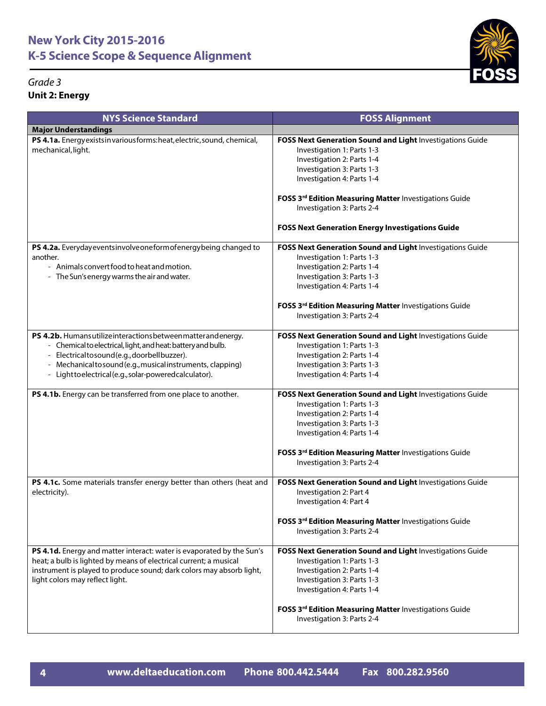

| <b>NYS Science Standard</b>                                                                                                                                                                                                                                                                                                                                       | <b>FOSS Alignment</b>                                                                                                                                                                                                                                                     |
|-------------------------------------------------------------------------------------------------------------------------------------------------------------------------------------------------------------------------------------------------------------------------------------------------------------------------------------------------------------------|---------------------------------------------------------------------------------------------------------------------------------------------------------------------------------------------------------------------------------------------------------------------------|
| <b>Major Understandings</b>                                                                                                                                                                                                                                                                                                                                       |                                                                                                                                                                                                                                                                           |
| PS 4.1a. Energy exists in various forms: heat, electric, sound, chemical,<br>mechanical, light.                                                                                                                                                                                                                                                                   | FOSS Next Generation Sound and Light Investigations Guide<br>Investigation 1: Parts 1-3<br>Investigation 2: Parts 1-4<br>Investigation 3: Parts 1-3<br>Investigation 4: Parts 1-4<br>FOSS 3rd Edition Measuring Matter Investigations Guide<br>Investigation 3: Parts 2-4 |
|                                                                                                                                                                                                                                                                                                                                                                   | <b>FOSS Next Generation Energy Investigations Guide</b>                                                                                                                                                                                                                   |
| PS 4.2a. Everyday events involve one form of energy being changed to<br>another.<br>- Animals convert food to heat and motion.<br>- The Sun's energy warms the air and water.                                                                                                                                                                                     | FOSS Next Generation Sound and Light Investigations Guide<br>Investigation 1: Parts 1-3<br>Investigation 2: Parts 1-4<br>Investigation 3: Parts 1-3<br>Investigation 4: Parts 1-4<br>FOSS 3rd Edition Measuring Matter Investigations Guide<br>Investigation 3: Parts 2-4 |
|                                                                                                                                                                                                                                                                                                                                                                   |                                                                                                                                                                                                                                                                           |
| PS 4.2b. Humans utilize interactions between matter and energy.<br>- Chemical to electrical, light, and heat: battery and bulb.<br>- Electricaltosound(e.g.,doorbellbuzzer).<br>- Mechanicaltosound (e.g., musical instruments, clapping)<br>- Lighttoelectrical(e.g., solar-poweredcalculator).<br>PS 4.1b. Energy can be transferred from one place to another. | FOSS Next Generation Sound and Light Investigations Guide<br>Investigation 1: Parts 1-3<br>Investigation 2: Parts 1-4<br>Investigation 3: Parts 1-3<br>Investigation 4: Parts 1-4<br>FOSS Next Generation Sound and Light Investigations Guide                            |
|                                                                                                                                                                                                                                                                                                                                                                   | Investigation 1: Parts 1-3<br>Investigation 2: Parts 1-4<br>Investigation 3: Parts 1-3<br>Investigation 4: Parts 1-4<br>FOSS 3rd Edition Measuring Matter Investigations Guide<br>Investigation 3: Parts 2-4                                                              |
| PS 4.1c. Some materials transfer energy better than others (heat and<br>electricity).                                                                                                                                                                                                                                                                             | FOSS Next Generation Sound and Light Investigations Guide<br>Investigation 2: Part 4<br>Investigation 4: Part 4<br>FOSS 3rd Edition Measuring Matter Investigations Guide<br>Investigation 3: Parts 2-4                                                                   |
| PS 4.1d. Energy and matter interact: water is evaporated by the Sun's<br>heat; a bulb is lighted by means of electrical current; a musical<br>instrument is played to produce sound; dark colors may absorb light,<br>light colors may reflect light.                                                                                                             | FOSS Next Generation Sound and Light Investigations Guide<br>Investigation 1: Parts 1-3<br>Investigation 2: Parts 1-4<br>Investigation 3: Parts 1-3<br>Investigation 4: Parts 1-4<br>FOSS 3rd Edition Measuring Matter Investigations Guide<br>Investigation 3: Parts 2-4 |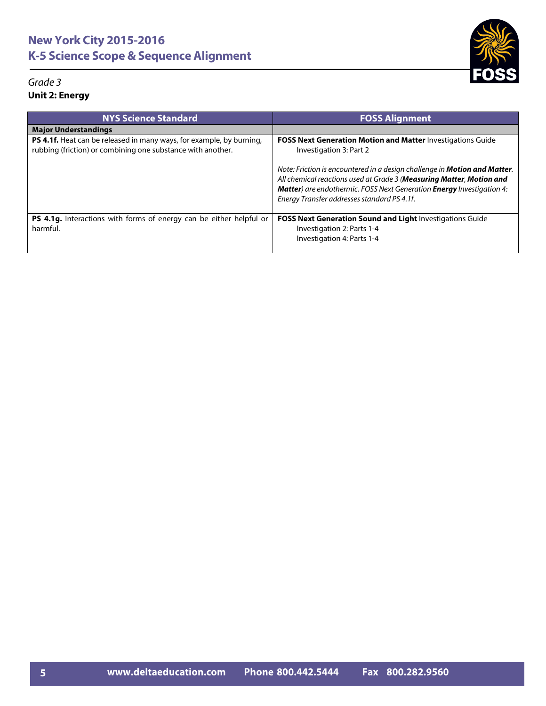



| <b>NYS Science Standard</b>                                                                                                                | <b>FOSS Alignment</b>                                                                                                                                                                                                                                                                    |
|--------------------------------------------------------------------------------------------------------------------------------------------|------------------------------------------------------------------------------------------------------------------------------------------------------------------------------------------------------------------------------------------------------------------------------------------|
| <b>Major Understandings</b>                                                                                                                |                                                                                                                                                                                                                                                                                          |
| <b>PS 4.1f.</b> Heat can be released in many ways, for example, by burning,<br>rubbing (friction) or combining one substance with another. | <b>FOSS Next Generation Motion and Matter Investigations Guide</b><br>Investigation 3: Part 2                                                                                                                                                                                            |
|                                                                                                                                            | Note: Friction is encountered in a design challenge in Motion and Matter.<br>All chemical reactions used at Grade 3 (Measuring Matter, Motion and<br><b>Matter</b> ) are endothermic. FOSS Next Generation <b>Energy</b> Investigation 4:<br>Energy Transfer addresses standard PS 4.1f. |
| PS 4.1g. Interactions with forms of energy can be either helpful or<br>harmful.                                                            | FOSS Next Generation Sound and Light Investigations Guide<br>Investigation 2: Parts 1-4<br>Investigation 4: Parts 1-4                                                                                                                                                                    |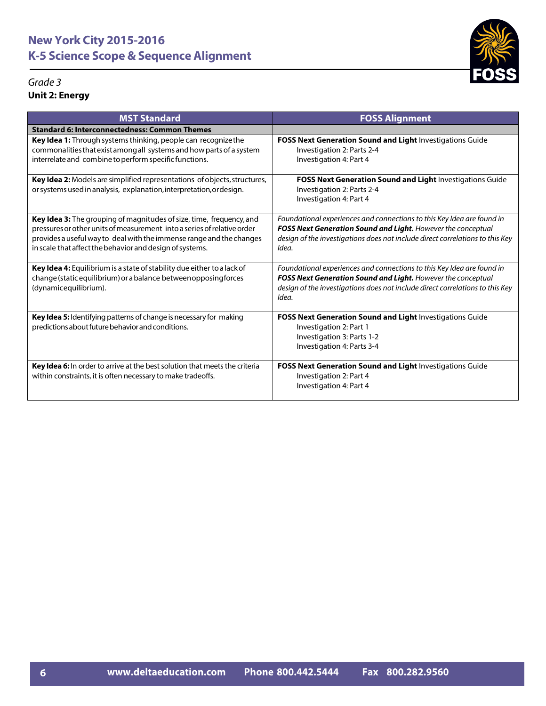| <b>MST Standard</b>                                                                                                                                                                                                                                                                 | <b>FOSS Alignment</b>                                                                                                                                                                                                            |
|-------------------------------------------------------------------------------------------------------------------------------------------------------------------------------------------------------------------------------------------------------------------------------------|----------------------------------------------------------------------------------------------------------------------------------------------------------------------------------------------------------------------------------|
| <b>Standard 6: Interconnectedness: Common Themes</b>                                                                                                                                                                                                                                |                                                                                                                                                                                                                                  |
| Key Idea 1: Through systems thinking, people can recognize the<br>commonalities that exist among all systems and how parts of a system<br>interrelate and combine to perform specific functions.                                                                                    | FOSS Next Generation Sound and Light Investigations Guide<br>Investigation 2: Parts 2-4<br>Investigation 4: Part 4                                                                                                               |
| Key Idea 2: Models are simplified representations of objects, structures,<br>or systems used in analysis, explanation, interpretation, ordesign.                                                                                                                                    | FOSS Next Generation Sound and Light Investigations Guide<br>Investigation 2: Parts 2-4<br>Investigation 4: Part 4                                                                                                               |
| Key Idea 3: The grouping of magnitudes of size, time, frequency, and<br>pressures or other units of measurement into a series of relative order<br>provides a useful way to deal with the immense range and the changes<br>in scale that affect the behavior and design of systems. | Foundational experiences and connections to this Key Idea are found in<br>FOSS Next Generation Sound and Light. However the conceptual<br>design of the investigations does not include direct correlations to this Key<br>Idea. |
| Key Idea 4: Equilibrium is a state of stability due either to a lack of<br>change (static equilibrium) or a balance betweenopposing forces<br>(dynamicequilibrium).                                                                                                                 | Foundational experiences and connections to this Key Idea are found in<br>FOSS Next Generation Sound and Light. However the conceptual<br>design of the investigations does not include direct correlations to this Key<br>Idea. |
| Key Idea 5: Identifying patterns of change is necessary for making<br>predictions about future behavior and conditions.                                                                                                                                                             | FOSS Next Generation Sound and Light Investigations Guide<br>Investigation 2: Part 1<br>Investigation 3: Parts 1-2<br>Investigation 4: Parts 3-4                                                                                 |
| Key Idea 6: In order to arrive at the best solution that meets the criteria<br>within constraints, it is often necessary to make tradeoffs.                                                                                                                                         | FOSS Next Generation Sound and Light Investigations Guide<br>Investigation 2: Part 4<br>Investigation 4: Part 4                                                                                                                  |

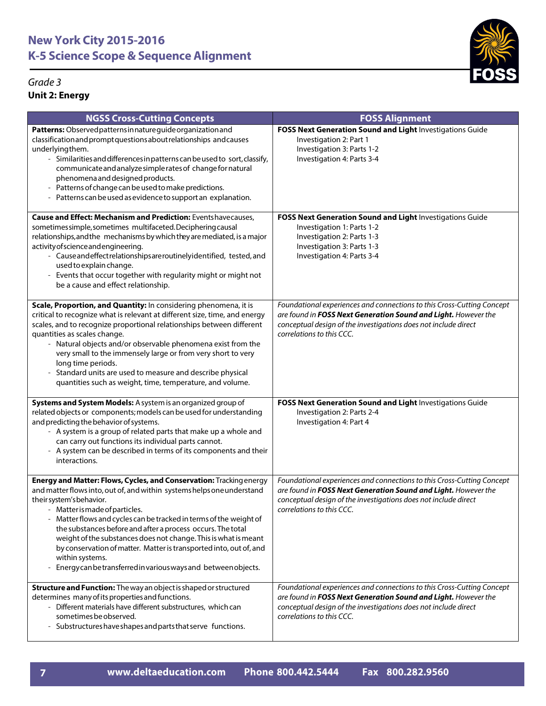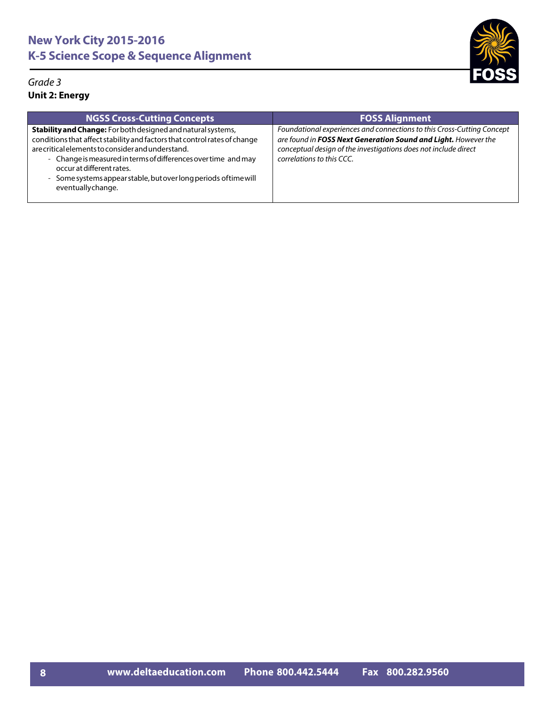

| <b>NGSS Cross-Cutting Concepts</b>                                                                                                                                                                                                                                                                                                                                                     | <b>FOSS Alignment</b>                                                                                                                                                                                                                    |
|----------------------------------------------------------------------------------------------------------------------------------------------------------------------------------------------------------------------------------------------------------------------------------------------------------------------------------------------------------------------------------------|------------------------------------------------------------------------------------------------------------------------------------------------------------------------------------------------------------------------------------------|
| Stability and Change: For both designed and natural systems,<br>conditions that affect stability and factors that control rates of change<br>are critical elements to consider and understand.<br>- Change is measured in terms of differences over time and may<br>occur at different rates.<br>- Some systems appear stable, but over long periods of time will<br>eventuallychange. | Foundational experiences and connections to this Cross-Cutting Concept<br>are found in FOSS Next Generation Sound and Light. However the<br>conceptual design of the investigations does not include direct<br>correlations to this CCC. |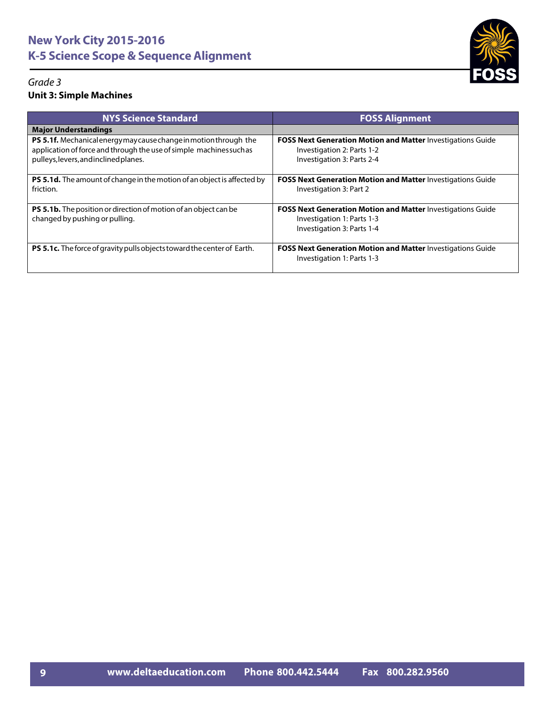

| <b>NYS Science Standard</b>                                                                                                                                                       | <b>FOSS Alignment</b>                                                                                                          |
|-----------------------------------------------------------------------------------------------------------------------------------------------------------------------------------|--------------------------------------------------------------------------------------------------------------------------------|
| <b>Major Understandings</b>                                                                                                                                                       |                                                                                                                                |
| PS 5.1f. Mechanical energy may cause change in motion through the<br>application of force and through the use of simple machines such as<br>pulleys, levers, and inclined planes. | <b>FOSS Next Generation Motion and Matter Investigations Guide</b><br>Investigation 2: Parts 1-2<br>Investigation 3: Parts 2-4 |
| <b>PS 5.1d.</b> The amount of change in the motion of an object is affected by<br>friction.                                                                                       | <b>FOSS Next Generation Motion and Matter Investigations Guide</b><br>Investigation 3: Part 2                                  |
| PS 5.1b. The position or direction of motion of an object can be<br>changed by pushing or pulling.                                                                                | <b>FOSS Next Generation Motion and Matter Investigations Guide</b><br>Investigation 1: Parts 1-3<br>Investigation 3: Parts 1-4 |
| PS 5.1c. The force of gravity pulls objects toward the center of Earth.                                                                                                           | <b>FOSS Next Generation Motion and Matter Investigations Guide</b><br>Investigation 1: Parts 1-3                               |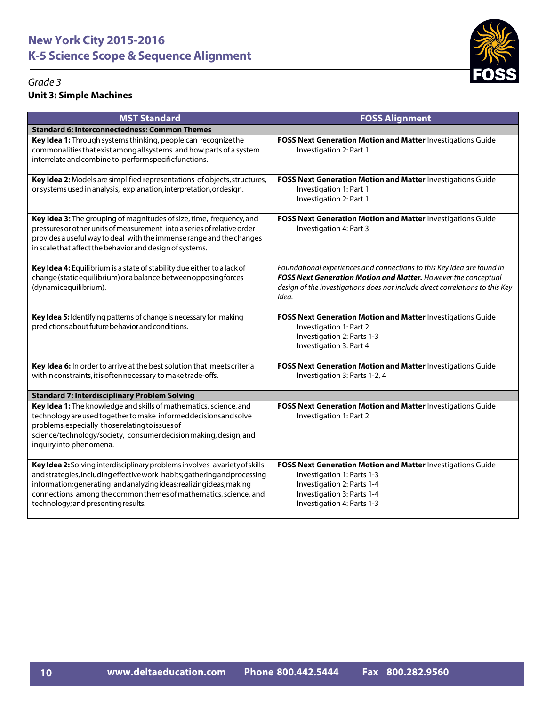

| <b>MST Standard</b>                                                                                                                                                                                                                                                                                                                      | <b>FOSS Alignment</b>                                                                                                                                                                                                              |
|------------------------------------------------------------------------------------------------------------------------------------------------------------------------------------------------------------------------------------------------------------------------------------------------------------------------------------------|------------------------------------------------------------------------------------------------------------------------------------------------------------------------------------------------------------------------------------|
| <b>Standard 6: Interconnectedness: Common Themes</b>                                                                                                                                                                                                                                                                                     |                                                                                                                                                                                                                                    |
| Key Idea 1: Through systems thinking, people can recognize the<br>commonalities that exist among all systems and how parts of a system<br>interrelate and combine to performspecificfunctions.                                                                                                                                           | FOSS Next Generation Motion and Matter Investigations Guide<br>Investigation 2: Part 1                                                                                                                                             |
| Key Idea 2: Models are simplified representations of objects, structures,<br>or systems used in analysis, explanation, interpretation, ordesign.                                                                                                                                                                                         | FOSS Next Generation Motion and Matter Investigations Guide<br>Investigation 1: Part 1<br>Investigation 2: Part 1                                                                                                                  |
| Key Idea 3: The grouping of magnitudes of size, time, frequency, and<br>pressures or other units of measurement into a series of relative order<br>provides a useful way to deal with the immense range and the changes<br>in scale that affect the behavior and design of systems.                                                      | FOSS Next Generation Motion and Matter Investigations Guide<br>Investigation 4: Part 3                                                                                                                                             |
| Key Idea 4: Equilibrium is a state of stability due either to a lack of<br>change (static equilibrium) or a balance betweenopposingforces<br>(dynamicequilibrium).                                                                                                                                                                       | Foundational experiences and connections to this Key Idea are found in<br>FOSS Next Generation Motion and Matter. However the conceptual<br>design of the investigations does not include direct correlations to this Key<br>Idea. |
| Key Idea 5: Identifying patterns of change is necessary for making<br>predictions about future behavior and conditions.                                                                                                                                                                                                                  | FOSS Next Generation Motion and Matter Investigations Guide<br>Investigation 1: Part 2<br>Investigation 2: Parts 1-3<br>Investigation 3: Part 4                                                                                    |
| Key Idea 6: In order to arrive at the best solution that meets criteria<br>within constraints, it is often necessary to make trade-offs.                                                                                                                                                                                                 | FOSS Next Generation Motion and Matter Investigations Guide<br>Investigation 3: Parts 1-2, 4                                                                                                                                       |
| <b>Standard 7: Interdisciplinary Problem Solving</b>                                                                                                                                                                                                                                                                                     |                                                                                                                                                                                                                                    |
| Key Idea 1: The knowledge and skills of mathematics, science, and<br>technology are used together to make informed decisions and solve<br>problems, especially those relating to issues of<br>science/technology/society, consumer decision making, design, and<br>inquiryinto phenomena.                                                | FOSS Next Generation Motion and Matter Investigations Guide<br>Investigation 1: Part 2                                                                                                                                             |
| Key Idea 2: Solving interdisciplinary problems involves a variety of skills<br>and strategies, including effective work habits; gathering and processing<br>information; generating andanalyzingideas; realizingideas; making<br>connections among the common themes of mathematics, science, and<br>technology; and presenting results. | FOSS Next Generation Motion and Matter Investigations Guide<br>Investigation 1: Parts 1-3<br>Investigation 2: Parts 1-4<br>Investigation 3: Parts 1-4<br>Investigation 4: Parts 1-3                                                |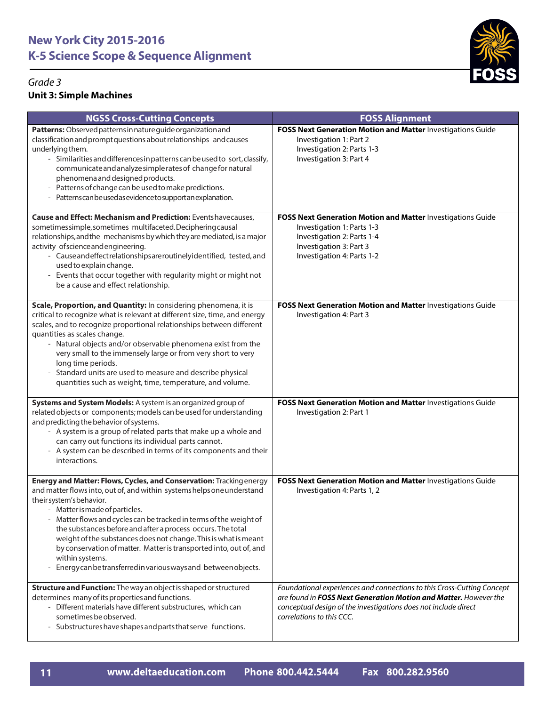

| <b>NGSS Cross-Cutting Concepts</b>                                                                                                                                                                                                                                                                                                                                                                                                                                                                                                                                               | <b>FOSS Alignment</b>                                                                                                                                                                                                                      |
|----------------------------------------------------------------------------------------------------------------------------------------------------------------------------------------------------------------------------------------------------------------------------------------------------------------------------------------------------------------------------------------------------------------------------------------------------------------------------------------------------------------------------------------------------------------------------------|--------------------------------------------------------------------------------------------------------------------------------------------------------------------------------------------------------------------------------------------|
| Patterns: Observed patterns in nature guide organization and<br>classification and prompt questions about relationships and causes<br>underlying them.<br>- Similarities and differences in patterns can be used to sort, classify,<br>communicate and analyze simple rates of change for natural<br>phenomena and designed products.<br>- Patterns of change can be used to make predictions.<br>- Patterns can be used as evidence to support an explanation.                                                                                                                  | FOSS Next Generation Motion and Matter Investigations Guide<br>Investigation 1: Part 2<br>Investigation 2: Parts 1-3<br>Investigation 3: Part 4                                                                                            |
| <b>Cause and Effect: Mechanism and Prediction: Eventshavecauses,</b><br>sometimes simple, sometimes multifaceted. Deciphering causal<br>relationships, and the mechanisms by which they are mediated, is a major<br>activity of science and engineering.<br>- Cause and effect relationships are routinely identified, tested, and<br>used to explain change.<br>- Events that occur together with regularity might or might not<br>be a cause and effect relationship.                                                                                                          | FOSS Next Generation Motion and Matter Investigations Guide<br>Investigation 1: Parts 1-3<br>Investigation 2: Parts 1-4<br>Investigation 3: Part 3<br>Investigation 4: Parts 1-2                                                           |
| Scale, Proportion, and Quantity: In considering phenomena, it is<br>critical to recognize what is relevant at different size, time, and energy<br>scales, and to recognize proportional relationships between different<br>quantities as scales change.<br>- Natural objects and/or observable phenomena exist from the<br>very small to the immensely large or from very short to very<br>long time periods.<br>- Standard units are used to measure and describe physical<br>quantities such as weight, time, temperature, and volume.                                         | FOSS Next Generation Motion and Matter Investigations Guide<br>Investigation 4: Part 3                                                                                                                                                     |
| Systems and System Models: A system is an organized group of<br>related objects or components; models can be used for understanding<br>and predicting the behavior of systems.<br>- A system is a group of related parts that make up a whole and<br>can carry out functions its individual parts cannot.<br>- A system can be described in terms of its components and their<br>interactions.                                                                                                                                                                                   | FOSS Next Generation Motion and Matter Investigations Guide<br>Investigation 2: Part 1                                                                                                                                                     |
| Energy and Matter: Flows, Cycles, and Conservation: Tracking energy<br>and matter flows into, out of, and within systems helps one understand<br>their system's behavior.<br>- Matter is made of particles.<br>- Matter flows and cycles can be tracked in terms of the weight of<br>the substances before and after a process occurs. The total<br>weight of the substances does not change. This is what is meant<br>by conservation of matter. Matter is transported into, out of, and<br>within systems.<br>- Energy can be transferred in various ways and between objects. | FOSS Next Generation Motion and Matter Investigations Guide<br>Investigation 4: Parts 1, 2                                                                                                                                                 |
| Structure and Function: The way an object is shaped or structured<br>determines many of its properties and functions.<br>- Different materials have different substructures, which can<br>sometimes be observed.<br>- Substructures have shapes and parts that serve functions.                                                                                                                                                                                                                                                                                                  | Foundational experiences and connections to this Cross-Cutting Concept<br>are found in FOSS Next Generation Motion and Matter. However the<br>conceptual design of the investigations does not include direct<br>correlations to this CCC. |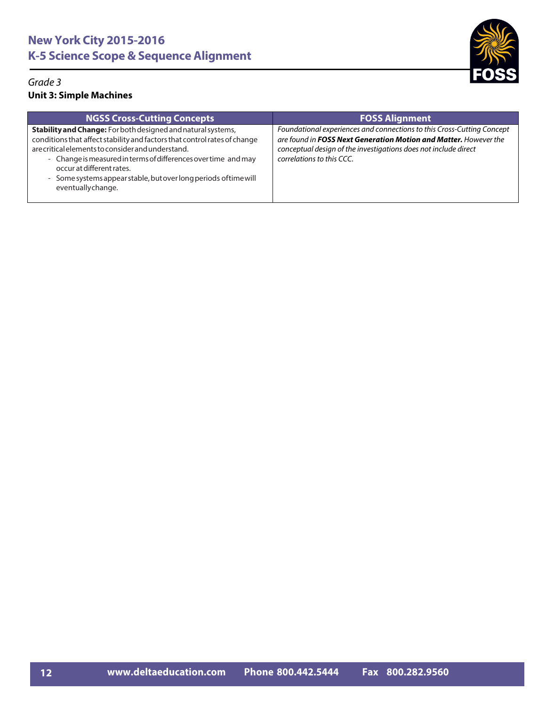

| <b>NGSS Cross-Cutting Concepts</b>                                                                                                                                                                                                                                                                                                                                                     | <b>FOSS Alignment</b>                                                                                                                                                                                                                      |
|----------------------------------------------------------------------------------------------------------------------------------------------------------------------------------------------------------------------------------------------------------------------------------------------------------------------------------------------------------------------------------------|--------------------------------------------------------------------------------------------------------------------------------------------------------------------------------------------------------------------------------------------|
| Stability and Change: For both designed and natural systems,<br>conditions that affect stability and factors that control rates of change<br>are critical elements to consider and understand.<br>- Change is measured in terms of differences over time and may<br>occur at different rates.<br>- Some systems appear stable, but over long periods of time will<br>eventuallychange. | Foundational experiences and connections to this Cross-Cutting Concept<br>are found in FOSS Next Generation Motion and Matter. However the<br>conceptual design of the investigations does not include direct<br>correlations to this CCC. |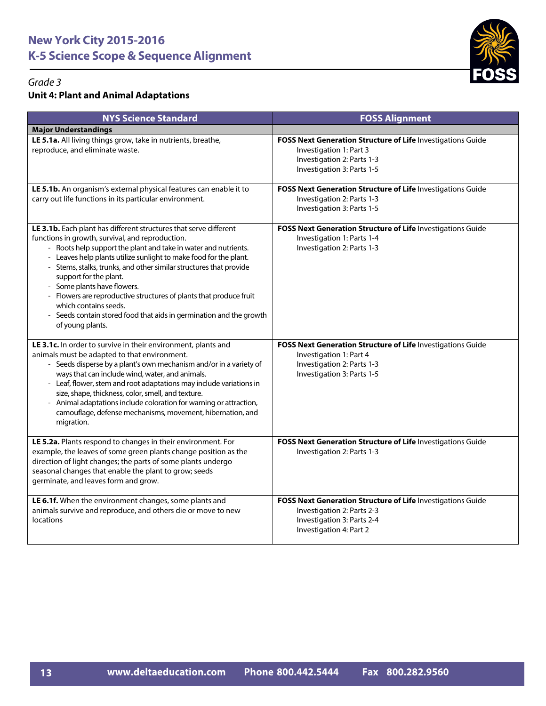

| <b>NYS Science Standard</b>                                                                                                                                                                                                                                                                                                                                                                                                                                                                                                                                                        | <b>FOSS Alignment</b>                                                                                                                              |
|------------------------------------------------------------------------------------------------------------------------------------------------------------------------------------------------------------------------------------------------------------------------------------------------------------------------------------------------------------------------------------------------------------------------------------------------------------------------------------------------------------------------------------------------------------------------------------|----------------------------------------------------------------------------------------------------------------------------------------------------|
| <b>Major Understandings</b>                                                                                                                                                                                                                                                                                                                                                                                                                                                                                                                                                        |                                                                                                                                                    |
| LE 5.1a. All living things grow, take in nutrients, breathe,<br>reproduce, and eliminate waste.                                                                                                                                                                                                                                                                                                                                                                                                                                                                                    | FOSS Next Generation Structure of Life Investigations Guide<br>Investigation 1: Part 3<br>Investigation 2: Parts 1-3<br>Investigation 3: Parts 1-5 |
| LE 5.1b. An organism's external physical features can enable it to<br>carry out life functions in its particular environment.                                                                                                                                                                                                                                                                                                                                                                                                                                                      | FOSS Next Generation Structure of Life Investigations Guide<br>Investigation 2: Parts 1-3<br>Investigation 3: Parts 1-5                            |
| LE 3.1b. Each plant has different structures that serve different<br>functions in growth, survival, and reproduction.<br>- Roots help support the plant and take in water and nutrients.<br>- Leaves help plants utilize sunlight to make food for the plant.<br>- Stems, stalks, trunks, and other similar structures that provide<br>support for the plant.<br>- Some plants have flowers.<br>Flowers are reproductive structures of plants that produce fruit<br>which contains seeds.<br>Seeds contain stored food that aids in germination and the growth<br>of young plants. | FOSS Next Generation Structure of Life Investigations Guide<br>Investigation 1: Parts 1-4<br>Investigation 2: Parts 1-3                            |
| LE 3.1c. In order to survive in their environment, plants and<br>animals must be adapted to that environment.<br>- Seeds disperse by a plant's own mechanism and/or in a variety of<br>ways that can include wind, water, and animals.<br>- Leaf, flower, stem and root adaptations may include variations in<br>size, shape, thickness, color, smell, and texture.<br>Animal adaptations include coloration for warning or attraction,<br>camouflage, defense mechanisms, movement, hibernation, and<br>migration.                                                                | FOSS Next Generation Structure of Life Investigations Guide<br>Investigation 1: Part 4<br>Investigation 2: Parts 1-3<br>Investigation 3: Parts 1-5 |
| LE 5.2a. Plants respond to changes in their environment. For<br>example, the leaves of some green plants change position as the<br>direction of light changes; the parts of some plants undergo<br>seasonal changes that enable the plant to grow; seeds<br>germinate, and leaves form and grow.                                                                                                                                                                                                                                                                                   | FOSS Next Generation Structure of Life Investigations Guide<br>Investigation 2: Parts 1-3                                                          |
| LE 6.1f. When the environment changes, some plants and<br>animals survive and reproduce, and others die or move to new<br>locations                                                                                                                                                                                                                                                                                                                                                                                                                                                | FOSS Next Generation Structure of Life Investigations Guide<br>Investigation 2: Parts 2-3<br>Investigation 3: Parts 2-4<br>Investigation 4: Part 2 |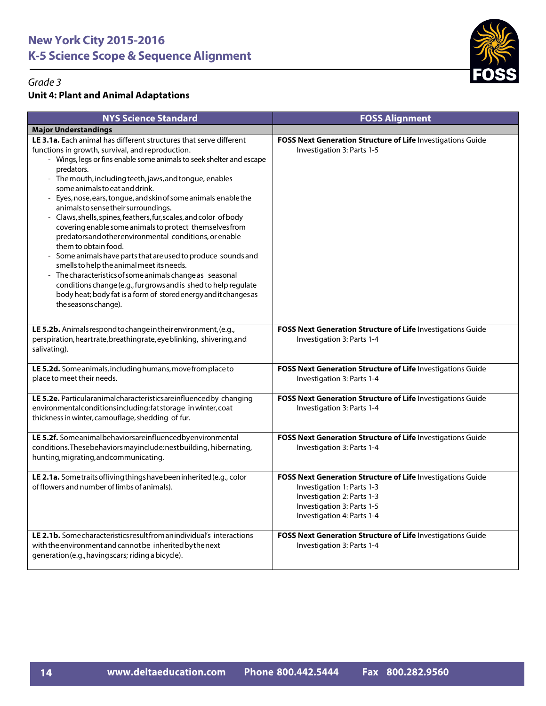

| <b>NYS Science Standard</b>                                                                                                                                                                                                                                                                                                                                                                                                                                                                                                                                                                                                                                                                                                                                                                                                                                                                                                                                                       | <b>FOSS Alignment</b>                                                                                                                                                               |
|-----------------------------------------------------------------------------------------------------------------------------------------------------------------------------------------------------------------------------------------------------------------------------------------------------------------------------------------------------------------------------------------------------------------------------------------------------------------------------------------------------------------------------------------------------------------------------------------------------------------------------------------------------------------------------------------------------------------------------------------------------------------------------------------------------------------------------------------------------------------------------------------------------------------------------------------------------------------------------------|-------------------------------------------------------------------------------------------------------------------------------------------------------------------------------------|
| <b>Major Understandings</b>                                                                                                                                                                                                                                                                                                                                                                                                                                                                                                                                                                                                                                                                                                                                                                                                                                                                                                                                                       |                                                                                                                                                                                     |
| LE 3.1a. Each animal has different structures that serve different<br>functions in growth, survival, and reproduction.<br>- Wings, legs or fins enable some animals to seek shelter and escape<br>predators.<br>- The mouth, including teeth, jaws, and tongue, enables<br>some animals to eat and drink.<br>Eyes, nose, ears, tongue, and skin of some animals enable the<br>$ \,$<br>animals to sense their surroundings.<br>Claws, shells, spines, feathers, fur, scales, and color of body<br>covering enable some animals to protect themselves from<br>predators and other environmental conditions, or enable<br>them to obtain food.<br>Some animals have parts that are used to produce sounds and<br>smells to help the animal meet its needs.<br>The characteristics of some animals change as seasonal<br>conditions change (e.g., fur grows and is shed to help regulate<br>body heat; body fat is a form of stored energy and it changes as<br>the seasons change). | FOSS Next Generation Structure of Life Investigations Guide<br>Investigation 3: Parts 1-5                                                                                           |
| LE 5.2b. Animals respond to change in their environment, (e.g.,<br>perspiration, heartrate, breathing rate, eyeblinking, shivering, and<br>salivating).                                                                                                                                                                                                                                                                                                                                                                                                                                                                                                                                                                                                                                                                                                                                                                                                                           | FOSS Next Generation Structure of Life Investigations Guide<br>Investigation 3: Parts 1-4                                                                                           |
| LE 5.2d. Some animals, including humans, move from place to<br>place to meet their needs.                                                                                                                                                                                                                                                                                                                                                                                                                                                                                                                                                                                                                                                                                                                                                                                                                                                                                         | FOSS Next Generation Structure of Life Investigations Guide<br>Investigation 3: Parts 1-4                                                                                           |
| LE 5.2e. Particularanimalcharacteristicsareinfluencedby changing<br>environmentalconditionsincluding:fatstorage in winter, coat<br>thickness in winter, camouflage, shedding of fur.                                                                                                                                                                                                                                                                                                                                                                                                                                                                                                                                                                                                                                                                                                                                                                                              | FOSS Next Generation Structure of Life Investigations Guide<br>Investigation 3: Parts 1-4                                                                                           |
| LE 5.2f. Someanimalbehaviorsareinfluencedbyenvironmental<br>conditions. These behaviors may include: nest building, hibernating,<br>hunting, migrating, and communicating.                                                                                                                                                                                                                                                                                                                                                                                                                                                                                                                                                                                                                                                                                                                                                                                                        | FOSS Next Generation Structure of Life Investigations Guide<br>Investigation 3: Parts 1-4                                                                                           |
| LE 2.1a. Sometraits of living things have been inherited (e.g., color<br>of flowers and number of limbs of animals).                                                                                                                                                                                                                                                                                                                                                                                                                                                                                                                                                                                                                                                                                                                                                                                                                                                              | FOSS Next Generation Structure of Life Investigations Guide<br>Investigation 1: Parts 1-3<br>Investigation 2: Parts 1-3<br>Investigation 3: Parts 1-5<br>Investigation 4: Parts 1-4 |
| LE 2.1b. Some characteristics result from an individual's interactions<br>with the environment and cannot be inherited by the next<br>generation (e.g., having scars; riding a bicycle).                                                                                                                                                                                                                                                                                                                                                                                                                                                                                                                                                                                                                                                                                                                                                                                          | FOSS Next Generation Structure of Life Investigations Guide<br>Investigation 3: Parts 1-4                                                                                           |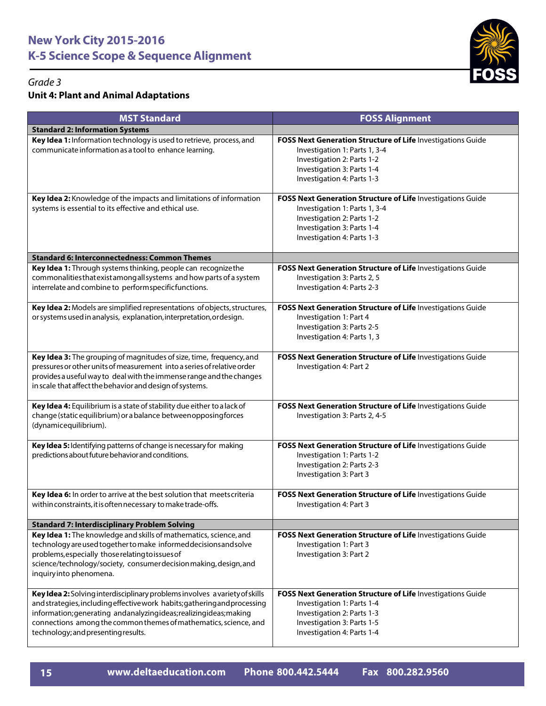

| <b>MST Standard</b>                                                                                                                                                                                                                                                                                                                         | <b>FOSS Alignment</b>                                                                                                                                                                  |
|---------------------------------------------------------------------------------------------------------------------------------------------------------------------------------------------------------------------------------------------------------------------------------------------------------------------------------------------|----------------------------------------------------------------------------------------------------------------------------------------------------------------------------------------|
| <b>Standard 2: Information Systems</b>                                                                                                                                                                                                                                                                                                      |                                                                                                                                                                                        |
| Key Idea 1: Information technology is used to retrieve, process, and<br>communicate information as a tool to enhance learning.                                                                                                                                                                                                              | FOSS Next Generation Structure of Life Investigations Guide<br>Investigation 1: Parts 1, 3-4<br>Investigation 2: Parts 1-2<br>Investigation 3: Parts 1-4<br>Investigation 4: Parts 1-3 |
| Key Idea 2: Knowledge of the impacts and limitations of information<br>systems is essential to its effective and ethical use.                                                                                                                                                                                                               | FOSS Next Generation Structure of Life Investigations Guide<br>Investigation 1: Parts 1, 3-4<br>Investigation 2: Parts 1-2<br>Investigation 3: Parts 1-4<br>Investigation 4: Parts 1-3 |
| <b>Standard 6: Interconnectedness: Common Themes</b>                                                                                                                                                                                                                                                                                        |                                                                                                                                                                                        |
| Key Idea 1: Through systems thinking, people can recognize the<br>commonalities that exist among all systems and how parts of a system<br>interrelate and combine to performspecificfunctions.                                                                                                                                              | FOSS Next Generation Structure of Life Investigations Guide<br>Investigation 3: Parts 2, 5<br>Investigation 4: Parts 2-3                                                               |
| Key Idea 2: Models are simplified representations of objects, structures,<br>or systems used in analysis, explanation, interpretation, or design.                                                                                                                                                                                           | FOSS Next Generation Structure of Life Investigations Guide<br>Investigation 1: Part 4<br>Investigation 3: Parts 2-5<br>Investigation 4: Parts 1, 3                                    |
| Key Idea 3: The grouping of magnitudes of size, time, frequency, and<br>pressures or other units of measurement into a series of relative order<br>provides a useful way to deal with the immense range and the changes<br>in scale that affect the behavior and design of systems.                                                         | FOSS Next Generation Structure of Life Investigations Guide<br>Investigation 4: Part 2                                                                                                 |
| Key Idea 4: Equilibrium is a state of stability due either to a lack of<br>change (static equilibrium) or a balance between opposing forces<br>(dynamicequilibrium).                                                                                                                                                                        | FOSS Next Generation Structure of Life Investigations Guide<br>Investigation 3: Parts 2, 4-5                                                                                           |
| Key Idea 5: Identifying patterns of change is necessary for making<br>predictions about future behavior and conditions.                                                                                                                                                                                                                     | FOSS Next Generation Structure of Life Investigations Guide<br>Investigation 1: Parts 1-2<br>Investigation 2: Parts 2-3<br>Investigation 3: Part 3                                     |
| Key Idea 6: In order to arrive at the best solution that meets criteria<br>within constraints, it is often necessary to make trade-offs.                                                                                                                                                                                                    | FOSS Next Generation Structure of Life Investigations Guide<br>Investigation 4: Part 3                                                                                                 |
| <b>Standard 7: Interdisciplinary Problem Solving</b>                                                                                                                                                                                                                                                                                        |                                                                                                                                                                                        |
| Key Idea 1: The knowledge and skills of mathematics, science, and<br>technology are used together to make informed decisions and solve<br>problems, especially those relating to issues of<br>science/technology/society, consumer decision making, design, and<br>inquiryinto phenomena.                                                   | FOSS Next Generation Structure of Life Investigations Guide<br>Investigation 1: Part 3<br>Investigation 3: Part 2                                                                      |
| Key Idea 2: Solving interdisciplinary problems involves a variety of skills<br>and strategies, including effective work habits; gathering and processing<br>information; generating and analyzing ideas; realizing ideas; making<br>connections among the common themes of mathematics, science, and<br>technology; and presenting results. | FOSS Next Generation Structure of Life Investigations Guide<br>Investigation 1: Parts 1-4<br>Investigation 2: Parts 1-3<br>Investigation 3: Parts 1-5<br>Investigation 4: Parts 1-4    |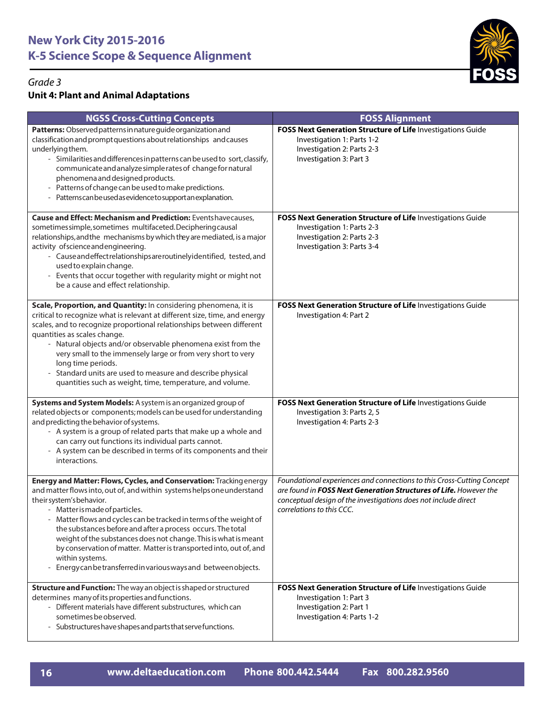

| <b>NGSS Cross-Cutting Concepts</b>                                                                                                                                                                                                                                                                                                                                                                                                                                                                                                                                               | <b>FOSS Alignment</b>                                                                                                                                                                                                                              |
|----------------------------------------------------------------------------------------------------------------------------------------------------------------------------------------------------------------------------------------------------------------------------------------------------------------------------------------------------------------------------------------------------------------------------------------------------------------------------------------------------------------------------------------------------------------------------------|----------------------------------------------------------------------------------------------------------------------------------------------------------------------------------------------------------------------------------------------------|
| Patterns: Observed patterns in nature guide organization and<br>classification and prompt questions about relationships and causes<br>underlying them.<br>- Similarities and differences in patterns can be used to sort, classify,<br>communicate and analyze simple rates of change for natural<br>phenomena and designed products.<br>- Patterns of change can be used to make predictions.<br>- Patterns can be used as evidence to support an explanation.                                                                                                                  | FOSS Next Generation Structure of Life Investigations Guide<br>Investigation 1: Parts 1-2<br>Investigation 2: Parts 2-3<br>Investigation 3: Part 3                                                                                                 |
| <b>Cause and Effect: Mechanism and Prediction: Eventshavecauses,</b><br>sometimes simple, sometimes multifaceted. Deciphering causal<br>relationships, and the mechanisms by which they are mediated, is a major<br>activity of science and engineering.<br>- Cause and effect relationships are routinely identified, tested, and<br>used to explain change.<br>- Events that occur together with regularity might or might not<br>be a cause and effect relationship.                                                                                                          | FOSS Next Generation Structure of Life Investigations Guide<br>Investigation 1: Parts 2-3<br>Investigation 2: Parts 2-3<br>Investigation 3: Parts 3-4                                                                                              |
| Scale, Proportion, and Quantity: In considering phenomena, it is<br>critical to recognize what is relevant at different size, time, and energy<br>scales, and to recognize proportional relationships between different<br>quantities as scales change.<br>- Natural objects and/or observable phenomena exist from the<br>very small to the immensely large or from very short to very<br>long time periods.<br>- Standard units are used to measure and describe physical<br>quantities such as weight, time, temperature, and volume.                                         | FOSS Next Generation Structure of Life Investigations Guide<br>Investigation 4: Part 2                                                                                                                                                             |
| Systems and System Models: A system is an organized group of<br>related objects or components; models can be used for understanding<br>and predicting the behavior of systems.<br>- A system is a group of related parts that make up a whole and<br>can carry out functions its individual parts cannot.<br>- A system can be described in terms of its components and their<br>interactions.                                                                                                                                                                                   | FOSS Next Generation Structure of Life Investigations Guide<br>Investigation 3: Parts 2, 5<br>Investigation 4: Parts 2-3                                                                                                                           |
| Energy and Matter: Flows, Cycles, and Conservation: Tracking energy<br>and matter flows into, out of, and within systems helps one understand<br>their system's behavior.<br>- Matter is made of particles.<br>- Matter flows and cycles can be tracked in terms of the weight of<br>the substances before and after a process occurs. The total<br>weight of the substances does not change. This is what is meant<br>by conservation of matter. Matter is transported into, out of, and<br>within systems.<br>- Energy can be transferred in various ways and between objects. | Foundational experiences and connections to this Cross-Cutting Concept<br>are found in <b>FOSS Next Generation Structures of Life.</b> However the<br>conceptual design of the investigations does not include direct<br>correlations to this CCC. |
| Structure and Function: The way an object is shaped or structured<br>determines many of its properties and functions.<br>- Different materials have different substructures, which can<br>sometimes be observed.<br>- Substructures have shapes and parts that serve functions.                                                                                                                                                                                                                                                                                                  | FOSS Next Generation Structure of Life Investigations Guide<br>Investigation 1: Part 3<br>Investigation 2: Part 1<br>Investigation 4: Parts 1-2                                                                                                    |